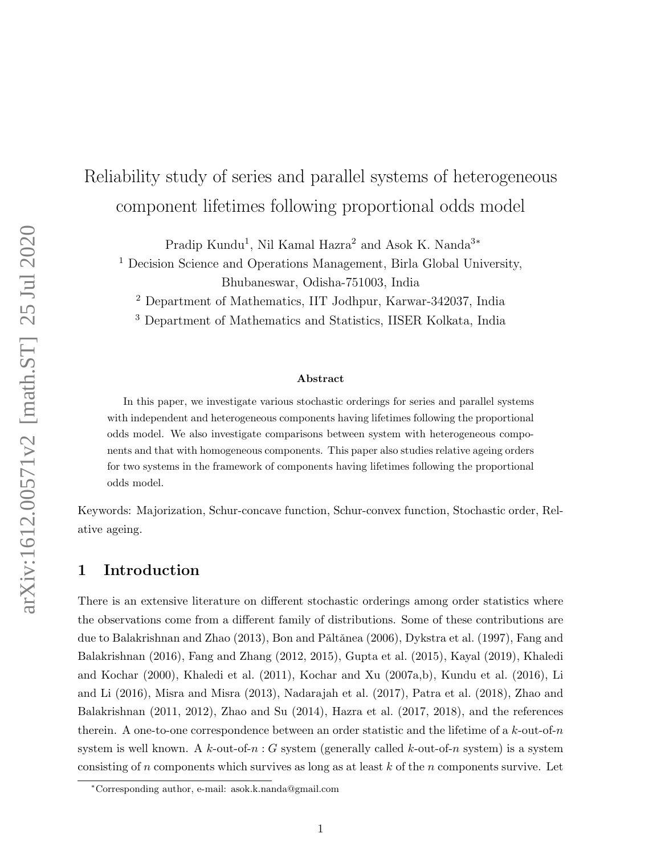# Reliability study of series and parallel systems of heterogeneous component lifetimes following proportional odds model

Pradip Kundu<sup>1</sup>, Nil Kamal Hazra<sup>2</sup> and Asok K. Nanda<sup>3</sup>\*

<sup>1</sup> Decision Science and Operations Management, Birla Global University, Bhubaneswar, Odisha-751003, India

<sup>2</sup> Department of Mathematics, IIT Jodhpur, Karwar-342037, India

<sup>3</sup> Department of Mathematics and Statistics, IISER Kolkata, India

#### Abstract

In this paper, we investigate various stochastic orderings for series and parallel systems with independent and heterogeneous components having lifetimes following the proportional odds model. We also investigate comparisons between system with heterogeneous components and that with homogeneous components. This paper also studies relative ageing orders for two systems in the framework of components having lifetimes following the proportional odds model.

Keywords: Majorization, Schur-concave function, Schur-convex function, Stochastic order, Relative ageing.

# 1 Introduction

There is an extensive literature on different stochastic orderings among order statistics where the observations come from a different family of distributions. Some of these contributions are due to Balakrishnan and Zhao (2013), Bon and Pǎltǎnea (2006), Dykstra et al. (1997), Fang and Balakrishnan (2016), Fang and Zhang (2012, 2015), Gupta et al. (2015), Kayal (2019), Khaledi and Kochar (2000), Khaledi et al. (2011), Kochar and Xu (2007a,b), Kundu et al. (2016), Li and Li (2016), Misra and Misra (2013), Nadarajah et al. (2017), Patra et al. (2018), Zhao and Balakrishnan (2011, 2012), Zhao and Su (2014), Hazra et al. (2017, 2018), and the references therein. A one-to-one correspondence between an order statistic and the lifetime of a  $k$ -out-of-n system is well known. A k-out-of-n : G system (generally called k-out-of-n system) is a system consisting of n components which survives as long as at least  $k$  of the n components survive. Let

<sup>∗</sup>Corresponding author, e-mail: asok.k.nanda@gmail.com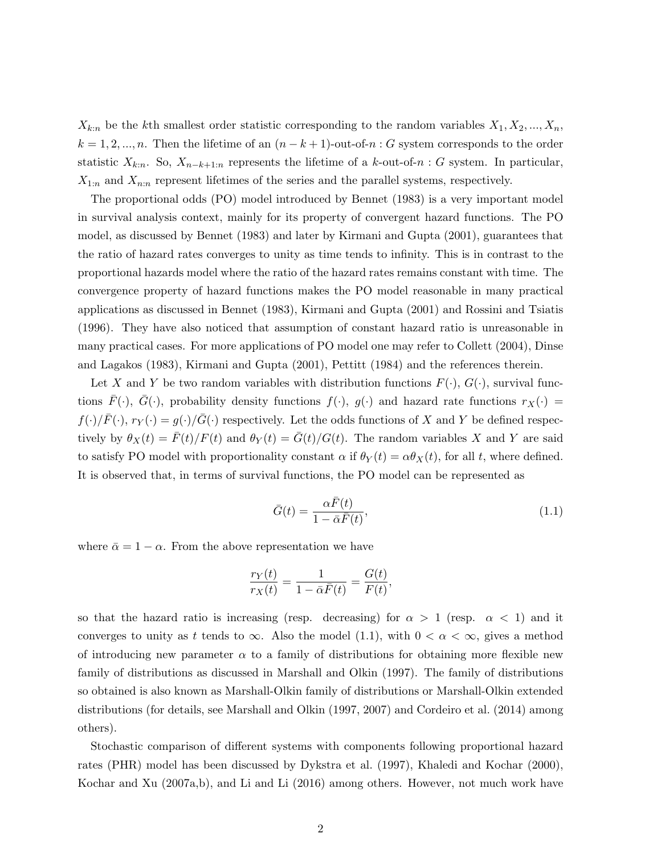$X_{k:n}$  be the kth smallest order statistic corresponding to the random variables  $X_1, X_2, ..., X_n$ ,  $k = 1, 2, ..., n$ . Then the lifetime of an  $(n - k + 1)$ -out-of-n : G system corresponds to the order statistic  $X_{k:n}$ . So,  $X_{n-k+1:n}$  represents the lifetime of a k-out-of-n : G system. In particular,  $X_{1:n}$  and  $X_{n:n}$  represent lifetimes of the series and the parallel systems, respectively.

The proportional odds (PO) model introduced by Bennet (1983) is a very important model in survival analysis context, mainly for its property of convergent hazard functions. The PO model, as discussed by Bennet (1983) and later by Kirmani and Gupta (2001), guarantees that the ratio of hazard rates converges to unity as time tends to infinity. This is in contrast to the proportional hazards model where the ratio of the hazard rates remains constant with time. The convergence property of hazard functions makes the PO model reasonable in many practical applications as discussed in Bennet (1983), Kirmani and Gupta (2001) and Rossini and Tsiatis (1996). They have also noticed that assumption of constant hazard ratio is unreasonable in many practical cases. For more applications of PO model one may refer to Collett (2004), Dinse and Lagakos (1983), Kirmani and Gupta (2001), Pettitt (1984) and the references therein.

Let X and Y be two random variables with distribution functions  $F(\cdot)$ ,  $G(\cdot)$ , survival functions  $F(\cdot)$ ,  $G(\cdot)$ , probability density functions  $f(\cdot)$ ,  $g(\cdot)$  and hazard rate functions  $r_X(\cdot)$  =  $f(\cdot)/\bar{F}(\cdot), r_Y(\cdot) = g(\cdot)/\bar{G}(\cdot)$  respectively. Let the odds functions of X and Y be defined respectively by  $\theta_X(t) = \bar{F}(t)/F(t)$  and  $\theta_Y(t) = \bar{G}(t)/G(t)$ . The random variables X and Y are said to satisfy PO model with proportionality constant  $\alpha$  if  $\theta_Y(t) = \alpha \theta_X(t)$ , for all t, where defined. It is observed that, in terms of survival functions, the PO model can be represented as

$$
\bar{G}(t) = \frac{\alpha \bar{F}(t)}{1 - \bar{\alpha} \bar{F}(t)},\tag{1.1}
$$

where  $\bar{\alpha} = 1 - \alpha$ . From the above representation we have

$$
\frac{r_Y(t)}{r_X(t)} = \frac{1}{1 - \bar{\alpha}\bar{F}(t)} = \frac{G(t)}{F(t)},
$$

so that the hazard ratio is increasing (resp. decreasing) for  $\alpha > 1$  (resp.  $\alpha < 1$ ) and it converges to unity as t tends to  $\infty$ . Also the model (1.1), with  $0 < \alpha < \infty$ , gives a method of introducing new parameter  $\alpha$  to a family of distributions for obtaining more flexible new family of distributions as discussed in Marshall and Olkin (1997). The family of distributions so obtained is also known as Marshall-Olkin family of distributions or Marshall-Olkin extended distributions (for details, see Marshall and Olkin (1997, 2007) and Cordeiro et al. (2014) among others).

Stochastic comparison of different systems with components following proportional hazard rates (PHR) model has been discussed by Dykstra et al. (1997), Khaledi and Kochar (2000), Kochar and Xu (2007a,b), and Li and Li (2016) among others. However, not much work have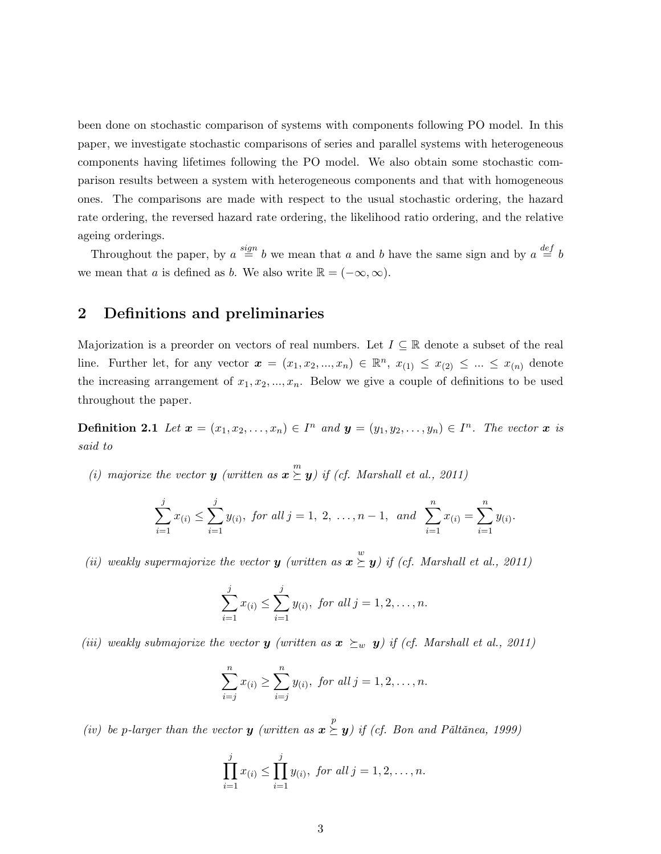been done on stochastic comparison of systems with components following PO model. In this paper, we investigate stochastic comparisons of series and parallel systems with heterogeneous components having lifetimes following the PO model. We also obtain some stochastic comparison results between a system with heterogeneous components and that with homogeneous ones. The comparisons are made with respect to the usual stochastic ordering, the hazard rate ordering, the reversed hazard rate ordering, the likelihood ratio ordering, and the relative ageing orderings.

Throughout the paper, by  $a \stackrel{sign}{=} b$  we mean that a and b have the same sign and by  $a \stackrel{def}{=} b$ we mean that a is defined as b. We also write  $\mathbb{R} = (-\infty, \infty)$ .

# 2 Definitions and preliminaries

Majorization is a preorder on vectors of real numbers. Let  $I \subseteq \mathbb{R}$  denote a subset of the real line. Further let, for any vector  $\boldsymbol{x} = (x_1, x_2, ..., x_n) \in \mathbb{R}^n$ ,  $x_{(1)} \leq x_{(2)} \leq ... \leq x_{(n)}$  denote the increasing arrangement of  $x_1, x_2, ..., x_n$ . Below we give a couple of definitions to be used throughout the paper.

**Definition 2.1** Let  $\mathbf{x} = (x_1, x_2, \ldots, x_n) \in I^n$  and  $\mathbf{y} = (y_1, y_2, \ldots, y_n) \in I^n$ . The vector  $\mathbf{x}$  is said to

(i) majorize the vector **y** (written as  $\mathbf{x} \geq \mathbf{y}$ ) if (cf. Marshall et al., 2011)

$$
\sum_{i=1}^{j} x_{(i)} \leq \sum_{i=1}^{j} y_{(i)}, \text{ for all } j = 1, 2, \dots, n-1, \text{ and } \sum_{i=1}^{n} x_{(i)} = \sum_{i=1}^{n} y_{(i)}.
$$

(ii) weakly supermajorize the vector **y** (written as  $\mathbf{x} \geq \mathbf{y}$ ) if (cf. Marshall et al., 2011)

$$
\sum_{i=1}^{j} x_{(i)} \le \sum_{i=1}^{j} y_{(i)}, \text{ for all } j = 1, 2, \dots, n.
$$

(iii) weakly submajorize the vector **y** (written as  $x \succeq_w y$ ) if (cf. Marshall et al., 2011)

$$
\sum_{i=j}^{n} x_{(i)} \ge \sum_{i=j}^{n} y_{(i)}, \text{ for all } j = 1, 2, \dots, n.
$$

(iv) be p-larger than the vector **y** (written as  $\mathbf{x} \geq y$ ) if (cf. Bon and Pǎltǎnea, 1999)

$$
\prod_{i=1}^{j} x_{(i)} \leq \prod_{i=1}^{j} y_{(i)}, \text{ for all } j = 1, 2, \dots, n.
$$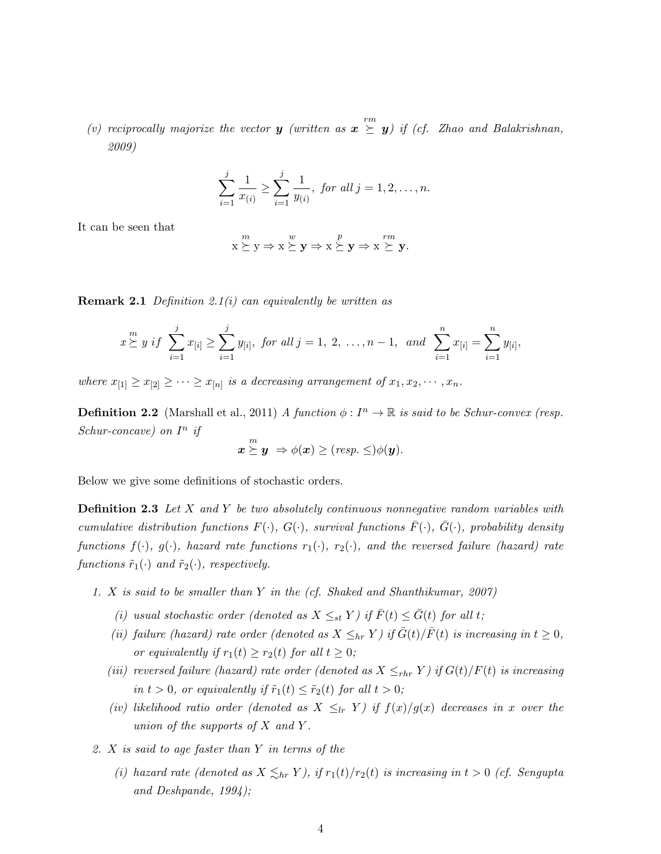(v) reciprocally majorize the vector **y** (written as  $\mathbf{x} \geq m$ ) if (cf. Zhao and Balakrishnan, 2009)

$$
\sum_{i=1}^{j} \frac{1}{x_{(i)}} \ge \sum_{i=1}^{j} \frac{1}{y_{(i)}}, \text{ for all } j = 1, 2, \dots, n.
$$

It can be seen that

$$
x \stackrel{m}{\succeq} y \Rightarrow x \stackrel{w}{\succeq} y \Rightarrow x \stackrel{p}{\succeq} y \Rightarrow x \stackrel{rm}{\succeq} y.
$$

**Remark 2.1** Definition 2.1(i) can equivalently be written as

$$
x \geq y \text{ if } \sum_{i=1}^{j} x_{[i]} \geq \sum_{i=1}^{j} y_{[i]}, \text{ for all } j = 1, 2, \ldots, n-1, \text{ and } \sum_{i=1}^{n} x_{[i]} = \sum_{i=1}^{n} y_{[i]},
$$

where  $x_{[1]} \ge x_{[2]} \ge \cdots \ge x_{[n]}$  is a decreasing arrangement of  $x_1, x_2, \cdots, x_n$ .

**Definition 2.2** (Marshall et al., 2011) A function  $\phi: I^n \to \mathbb{R}$  is said to be Schur-convex (resp. Schur-concave) on  $I^n$  if

$$
\boldsymbol{x} \stackrel{m}{\succeq} \boldsymbol{y} \ \Rightarrow \phi(\boldsymbol{x}) \ge (resp. \le ) \phi(\boldsymbol{y}).
$$

Below we give some definitions of stochastic orders.

**Definition 2.3** Let X and Y be two absolutely continuous nonnegative random variables with cumulative distribution functions  $F(\cdot)$ ,  $G(\cdot)$ , survival functions  $\bar{F}(\cdot)$ ,  $\bar{G}(\cdot)$ , probability density functions  $f(\cdot)$ ,  $g(\cdot)$ , hazard rate functions  $r_1(\cdot)$ ,  $r_2(\cdot)$ , and the reversed failure (hazard) rate functions  $\tilde{r}_1(\cdot)$  and  $\tilde{r}_2(\cdot)$ , respectively.

- 1. X is said to be smaller than Y in the (cf. Shaked and Shanthikumar, 2007)
	- (i) usual stochastic order (denoted as  $X \leq_{st} Y$ ) if  $\overline{F}(t) \leq \overline{G}(t)$  for all t;
	- (ii) failure (hazard) rate order (denoted as  $X \leq_{hr} Y$ ) if  $\bar{G}(t)/\bar{F}(t)$  is increasing in  $t \geq 0$ , or equivalently if  $r_1(t) \ge r_2(t)$  for all  $t \ge 0$ ;
	- (iii) reversed failure (hazard) rate order (denoted as  $X \leq_{rhr} Y$ ) if  $G(t)/F(t)$  is increasing in  $t > 0$ , or equivalently if  $\tilde{r}_1(t) \leq \tilde{r}_2(t)$  for all  $t > 0$ ;
	- (iv) likelihood ratio order (denoted as  $X \leq_{lr} Y$ ) if  $f(x)/g(x)$  decreases in x over the union of the supports of  $X$  and  $Y$ .
- 2. X is said to age faster than Y in terms of the
	- (i) hazard rate (denoted as  $X \leq_{hr} Y$ ), if  $r_1(t)/r_2(t)$  is increasing in  $t > 0$  (cf. Sengupta and Deshpande, 1994);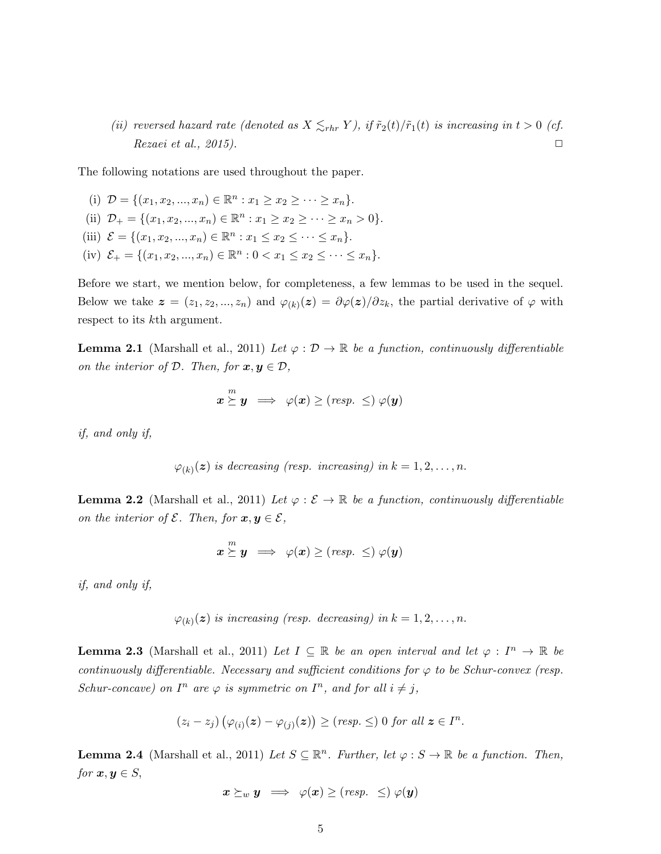(ii) reversed hazard rate (denoted as  $X \leq_{rhr} Y$ ), if  $\tilde{r}_2(t)/\tilde{r}_1(t)$  is increasing in  $t > 0$  (cf.  $Recaei \text{ et } al., 2015$ .

The following notations are used throughout the paper.

(i)  $\mathcal{D} = \{ (x_1, x_2, ..., x_n) \in \mathbb{R}^n : x_1 \ge x_2 \ge \cdots \ge x_n \}.$ (ii)  $\mathcal{D}_+ = \{(x_1, x_2, ..., x_n) \in \mathbb{R}^n : x_1 \ge x_2 \ge \dots \ge x_n > 0\}.$ (iii)  $\mathcal{E} = \{(x_1, x_2, ..., x_n) \in \mathbb{R}^n : x_1 \le x_2 \le ... \le x_n\}.$ (iv)  $\mathcal{E}_+ = \{(x_1, x_2, ..., x_n) \in \mathbb{R}^n : 0 < x_1 \le x_2 \le \cdots \le x_n\}.$ 

Before we start, we mention below, for completeness, a few lemmas to be used in the sequel. Below we take  $\boldsymbol{z} = (z_1, z_2, ..., z_n)$  and  $\varphi_{(k)}(\boldsymbol{z}) = \partial \varphi(\boldsymbol{z})/\partial z_k$ , the partial derivative of  $\varphi$  with respect to its kth argument.

**Lemma 2.1** (Marshall et al., 2011) Let  $\varphi : \mathcal{D} \to \mathbb{R}$  be a function, continuously differentiable on the interior of  $D$ . Then, for  $x, y \in D$ ,

$$
\boldsymbol{x} \stackrel{m}{\succeq} \boldsymbol{y} \;\; \Longrightarrow \;\; \varphi(\boldsymbol{x}) \geq (\textit{resp.} \; \leq) \; \varphi(\boldsymbol{y})
$$

if, and only if,

$$
\varphi_{(k)}(z)
$$
 is decreasing (resp. increasing) in  $k = 1, 2, ..., n$ .

**Lemma 2.2** (Marshall et al., 2011) Let  $\varphi : \mathcal{E} \to \mathbb{R}$  be a function, continuously differentiable on the interior of  $\mathcal{E}$ . Then, for  $\mathbf{x}, \mathbf{y} \in \mathcal{E}$ ,

$$
\boldsymbol{x} \stackrel{m}{\succeq} \boldsymbol{y} \implies \varphi(\boldsymbol{x}) \ge (resp. \le ) \varphi(\boldsymbol{y})
$$

if, and only if,

$$
\varphi_{(k)}(z)
$$
 is increasing (resp. decreasing) in  $k = 1, 2, ..., n$ .

**Lemma 2.3** (Marshall et al., 2011) Let  $I \subseteq \mathbb{R}$  be an open interval and let  $\varphi : I^n \to \mathbb{R}$  be continuously differentiable. Necessary and sufficient conditions for  $\varphi$  to be Schur-convex (resp. Schur-concave) on  $I^n$  are  $\varphi$  is symmetric on  $I^n$ , and for all  $i \neq j$ ,

$$
(z_i - z_j) (\varphi_{(i)}(z) - \varphi_{(j)}(z)) \geq (resp. \leq) 0 \text{ for all } z \in I^n.
$$

**Lemma 2.4** (Marshall et al., 2011) Let  $S \subseteq \mathbb{R}^n$ . Further, let  $\varphi : S \to \mathbb{R}$  be a function. Then, for  $x, y \in S$ ,

$$
\boldsymbol{x} \succeq_{w} \boldsymbol{y} \implies \varphi(\boldsymbol{x}) \ge (resp. \ \le ) \ \varphi(\boldsymbol{y})
$$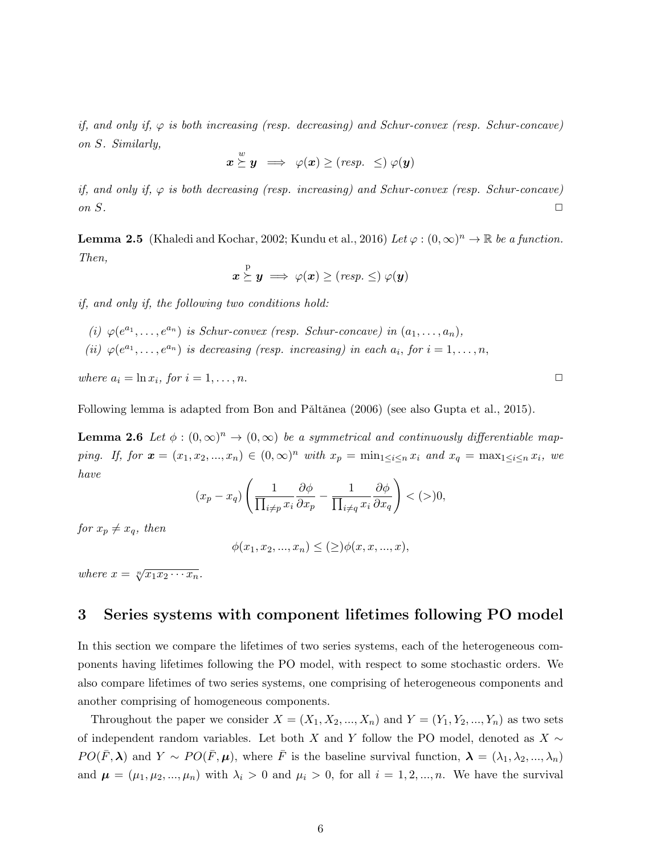if, and only if,  $\varphi$  is both increasing (resp. decreasing) and Schur-convex (resp. Schur-concave) on S. Similarly,

$$
\boldsymbol{x} \stackrel{w}{\succeq} \boldsymbol{y} \implies \varphi(\boldsymbol{x}) \ge (resp. \ \le ) \ \varphi(\boldsymbol{y})
$$

if, and only if,  $\varphi$  is both decreasing (resp. increasing) and Schur-convex (resp. Schur-concave) on  $S$ .

**Lemma 2.5** (Khaledi and Kochar, 2002; Kundu et al., 2016) Let  $\varphi : (0, \infty)^n \to \mathbb{R}$  be a function. Then,

$$
\boldsymbol{x} \stackrel{\mathrm{p}}{\succeq} \boldsymbol{y} \implies \varphi(\boldsymbol{x}) \geq (\mathit{resp.} \leq) \ \varphi(\boldsymbol{y})
$$

if, and only if, the following two conditions hold:

- (i)  $\varphi(e^{a_1}, \ldots, e^{a_n})$  is Schur-convex (resp. Schur-concave) in  $(a_1, \ldots, a_n)$ ,
- (ii)  $\varphi(e^{a_1}, \ldots, e^{a_n})$  is decreasing (resp. increasing) in each  $a_i$ , for  $i = 1, \ldots, n$ ,

where  $a_i = \ln x_i$ , for  $i = 1, ..., n$ .

Following lemma is adapted from Bon and Pǎltǎnea (2006) (see also Gupta et al., 2015).

**Lemma 2.6** Let  $\phi : (0, \infty)^n \to (0, \infty)$  be a symmetrical and continuously differentiable mapping. If, for  $\mathbf{x} = (x_1, x_2, ..., x_n) \in (0, \infty)^n$  with  $x_p = \min_{1 \leq i \leq n} x_i$  and  $x_q = \max_{1 \leq i \leq n} x_i$ , we have

$$
(x_p - x_q) \left( \frac{1}{\prod_{i \neq p} x_i} \frac{\partial \phi}{\partial x_p} - \frac{1}{\prod_{i \neq q} x_i} \frac{\partial \phi}{\partial x_q} \right) < (>)0,
$$

for  $x_p \neq x_q$ , then

$$
\phi(x_1, x_2, ..., x_n) \le (\ge) \phi(x, x, ..., x),
$$

where  $x = \sqrt[n]{x_1 x_2 \cdots x_n}$ .

### 3 Series systems with component lifetimes following PO model

In this section we compare the lifetimes of two series systems, each of the heterogeneous components having lifetimes following the PO model, with respect to some stochastic orders. We also compare lifetimes of two series systems, one comprising of heterogeneous components and another comprising of homogeneous components.

Throughout the paper we consider  $X = (X_1, X_2, ..., X_n)$  and  $Y = (Y_1, Y_2, ..., Y_n)$  as two sets of independent random variables. Let both X and Y follow the PO model, denoted as  $X \sim$  $PO(\bar{F}, \lambda)$  and  $Y \sim PO(\bar{F}, \mu)$ , where  $\bar{F}$  is the baseline survival function,  $\lambda = (\lambda_1, \lambda_2, ..., \lambda_n)$ and  $\mu = (\mu_1, \mu_2, ..., \mu_n)$  with  $\lambda_i > 0$  and  $\mu_i > 0$ , for all  $i = 1, 2, ..., n$ . We have the survival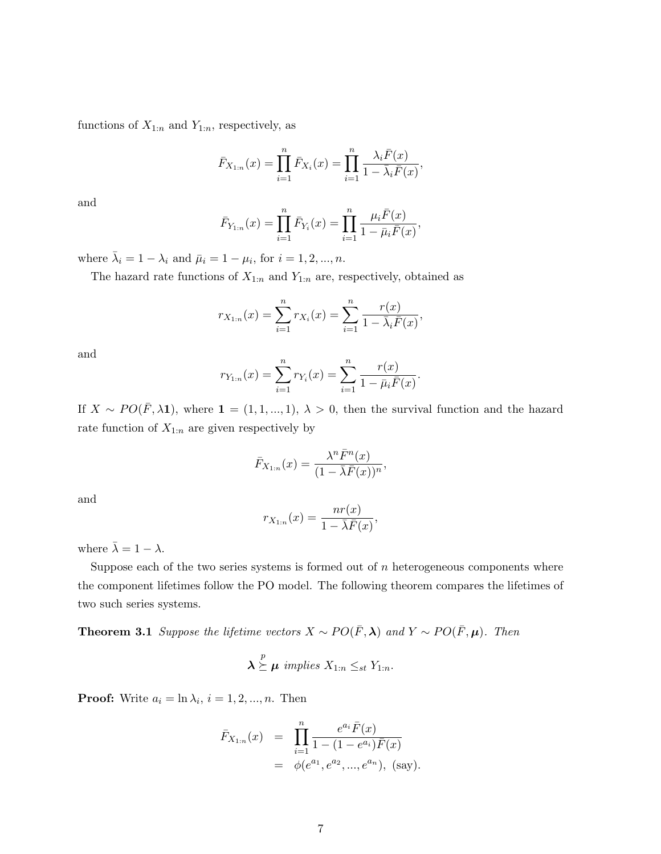functions of  $X_{1:n}$  and  $Y_{1:n}$ , respectively, as

$$
\bar{F}_{X_{1:n}}(x) = \prod_{i=1}^{n} \bar{F}_{X_i}(x) = \prod_{i=1}^{n} \frac{\lambda_i \bar{F}(x)}{1 - \bar{\lambda}_i \bar{F}(x)},
$$

and

$$
\bar{F}_{Y_{1:n}}(x) = \prod_{i=1}^{n} \bar{F}_{Y_i}(x) = \prod_{i=1}^{n} \frac{\mu_i \bar{F}(x)}{1 - \bar{\mu}_i \bar{F}(x)},
$$

where  $\bar{\lambda}_i = 1 - \lambda_i$  and  $\bar{\mu}_i = 1 - \mu_i$ , for  $i = 1, 2, ..., n$ .

The hazard rate functions of  $X_{1:n}$  and  $Y_{1:n}$  are, respectively, obtained as

$$
r_{X_{1:n}}(x) = \sum_{i=1}^{n} r_{X_i}(x) = \sum_{i=1}^{n} \frac{r(x)}{1 - \overline{\lambda}_i \overline{F}(x)},
$$

and

$$
r_{Y_{1:n}}(x) = \sum_{i=1}^{n} r_{Y_i}(x) = \sum_{i=1}^{n} \frac{r(x)}{1 - \bar{\mu}_i \bar{F}(x)}.
$$

If  $X \sim PO(\bar{F}, \lambda \mathbf{1})$ , where  $\mathbf{1} = (1, 1, ..., 1), \lambda > 0$ , then the survival function and the hazard rate function of  $X_{1:n}$  are given respectively by

$$
\bar{F}_{X_{1:n}}(x) = \frac{\lambda^n \bar{F}^n(x)}{(1 - \bar{\lambda}\bar{F}(x))^n},
$$

and

$$
r_{X_{1:n}}(x) = \frac{nr(x)}{1 - \overline{\lambda}\overline{F}(x)},
$$

where  $\bar{\lambda} = 1 - \lambda$ .

Suppose each of the two series systems is formed out of  $n$  heterogeneous components where the component lifetimes follow the PO model. The following theorem compares the lifetimes of two such series systems.

**Theorem 3.1** Suppose the lifetime vectors  $X \sim PO(\bar{F}, \lambda)$  and  $Y \sim PO(\bar{F}, \mu)$ . Then

$$
\lambda \stackrel{p}{\succeq} \mu \text{ implies } X_{1:n} \leq_{st} Y_{1:n}.
$$

**Proof:** Write  $a_i = \ln \lambda_i$ ,  $i = 1, 2, ..., n$ . Then

$$
\bar{F}_{X_{1:n}}(x) = \prod_{i=1}^{n} \frac{e^{a_i} \bar{F}(x)}{1 - (1 - e^{a_i}) \bar{F}(x)}
$$
  
=  $\phi(e^{a_1}, e^{a_2}, ..., e^{a_n}),$  (say).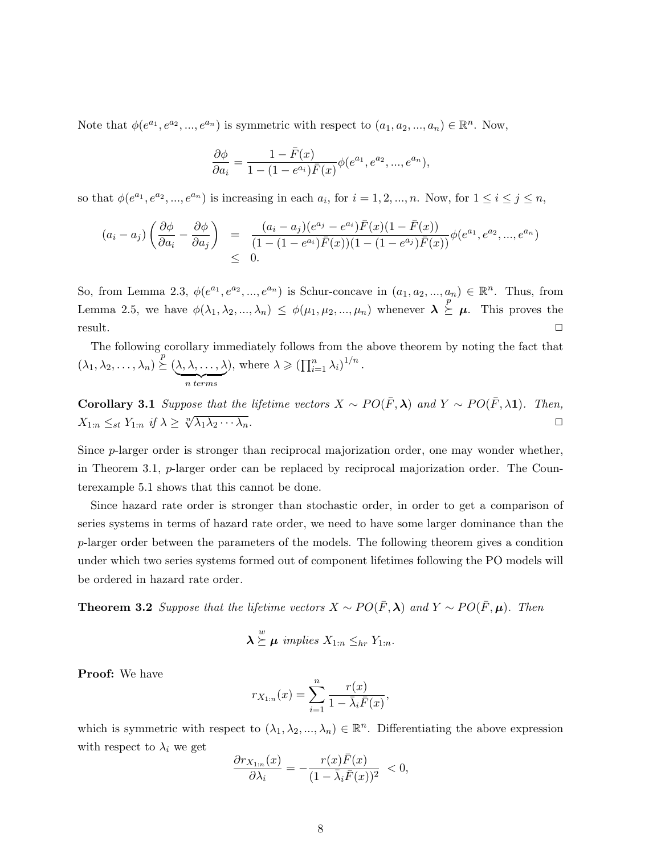Note that  $\phi(e^{a_1}, e^{a_2}, ..., e^{a_n})$  is symmetric with respect to  $(a_1, a_2, ..., a_n) \in \mathbb{R}^n$ . Now,

$$
\frac{\partial \phi}{\partial a_i} = \frac{1 - \bar{F}(x)}{1 - (1 - e^{a_i})\bar{F}(x)} \phi(e^{a_1}, e^{a_2}, ..., e^{a_n}),
$$

so that  $\phi(e^{a_1}, e^{a_2}, ..., e^{a_n})$  is increasing in each  $a_i$ , for  $i = 1, 2, ..., n$ . Now, for  $1 \le i \le j \le n$ ,

$$
(a_i - a_j) \left( \frac{\partial \phi}{\partial a_i} - \frac{\partial \phi}{\partial a_j} \right) = \frac{(a_i - a_j)(e^{a_j} - e^{a_i}) \bar{F}(x) (1 - \bar{F}(x))}{(1 - (1 - e^{a_i}) \bar{F}(x)) (1 - (1 - e^{a_j}) \bar{F}(x))} \phi(e^{a_1}, e^{a_2}, ..., e^{a_n})
$$
  
\$\leq\$ 0.

So, from Lemma 2.3,  $\phi(e^{a_1}, e^{a_2}, ..., e^{a_n})$  is Schur-concave in  $(a_1, a_2, ..., a_n) \in \mathbb{R}^n$ . Thus, from Lemma 2.5, we have  $\phi(\lambda_1, \lambda_2, ..., \lambda_n) \leq \phi(\mu_1, \mu_2, ..., \mu_n)$  whenever  $\lambda \geq \mu$ . This proves the  $r$ esult.  $\Box$ 

The following corollary immediately follows from the above theorem by noting the fact that  $(\lambda_1, \lambda_2, \ldots, \lambda_n) \stackrel{\circ}{\succeq} (\lambda, \lambda, \ldots, \lambda)$  $\overbrace{n \ terms}$ ), where  $\lambda \geqslant (\prod_{i=1}^n \lambda_i)^{1/n}$ .

Corollary 3.1 Suppose that the lifetime vectors  $X \sim PO(\bar{F}, \lambda)$  and  $Y \sim PO(\bar{F}, \lambda)$ . Then,  $X_{1:n} \leq_{st} Y_{1:n}$  if  $\lambda \geq \sqrt[n]{\lambda_1 \lambda_2 \cdots \lambda_n}$ .

Since p-larger order is stronger than reciprocal majorization order, one may wonder whether, in Theorem 3.1, p-larger order can be replaced by reciprocal majorization order. The Counterexample 5.1 shows that this cannot be done.

Since hazard rate order is stronger than stochastic order, in order to get a comparison of series systems in terms of hazard rate order, we need to have some larger dominance than the p-larger order between the parameters of the models. The following theorem gives a condition under which two series systems formed out of component lifetimes following the PO models will be ordered in hazard rate order.

**Theorem 3.2** Suppose that the lifetime vectors  $X \sim PO(\bar{F}, \lambda)$  and  $Y \sim PO(\bar{F}, \mu)$ . Then

$$
\lambda \stackrel{w}{\succeq} \mu \ \text{implies} \ X_{1:n} \leq_{hr} Y_{1:n}.
$$

Proof: We have

$$
r_{X_{1:n}}(x) = \sum_{i=1}^{n} \frac{r(x)}{1 - \bar{\lambda}_i \bar{F}(x)},
$$

which is symmetric with respect to  $(\lambda_1, \lambda_2, ..., \lambda_n) \in \mathbb{R}^n$ . Differentiating the above expression with respect to  $\lambda_i$  we get

$$
\frac{\partial r_{X_{1:n}}(x)}{\partial \lambda_i} = -\frac{r(x)\bar{F}(x)}{(1 - \bar{\lambda}_i \bar{F}(x))^2} < 0,
$$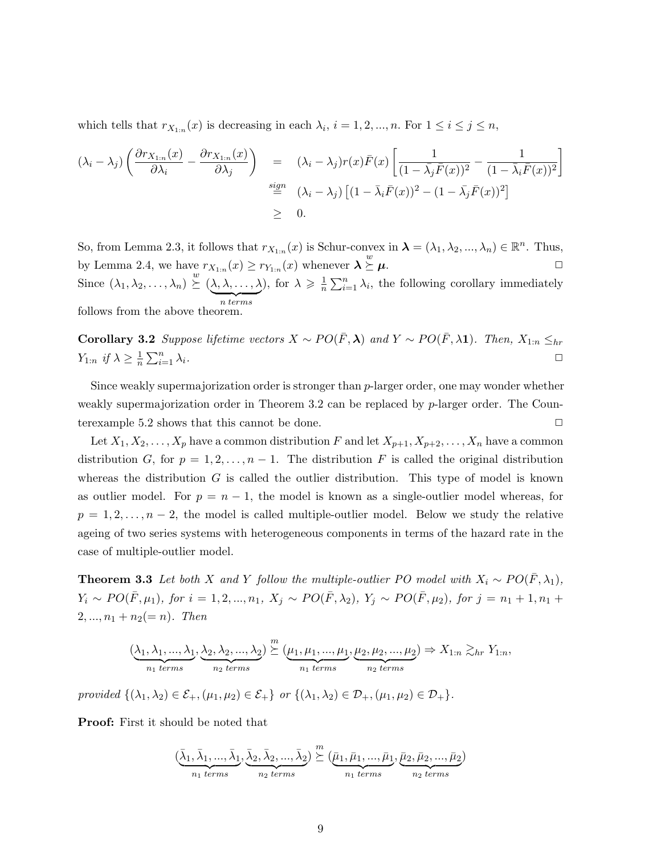which tells that  $r_{X_{1:n}}(x)$  is decreasing in each  $\lambda_i$ ,  $i = 1, 2, ..., n$ . For  $1 \le i \le j \le n$ ,

$$
(\lambda_i - \lambda_j) \left( \frac{\partial r_{X_{1:n}}(x)}{\partial \lambda_i} - \frac{\partial r_{X_{1:n}}(x)}{\partial \lambda_j} \right) = (\lambda_i - \lambda_j) r(x) \bar{F}(x) \left[ \frac{1}{(1 - \bar{\lambda_j} \bar{F}(x))^2} - \frac{1}{(1 - \bar{\lambda_i} \bar{F}(x))^2} \right]
$$
  

$$
\stackrel{sign}{=} (\lambda_i - \lambda_j) \left[ (1 - \bar{\lambda_i} \bar{F}(x))^2 - (1 - \bar{\lambda_j} \bar{F}(x))^2 \right]
$$
  

$$
\geq 0.
$$

So, from Lemma 2.3, it follows that  $r_{X_{1:n}}(x)$  is Schur-convex in  $\boldsymbol{\lambda} = (\lambda_1, \lambda_2, ..., \lambda_n) \in \mathbb{R}^n$ . Thus, by Lemma 2.4, we have  $r_{X_{1:n}}(x) \geq r_{Y_{1:n}}(x)$  whenever  $\lambda \stackrel{w}{\succeq} \mu$ . Since  $(\lambda_1, \lambda_2, \ldots, \lambda_n) \stackrel{w}{\succeq} (\lambda, \lambda, \ldots, \lambda)$  $\overbrace{n \ terms}$ ), for  $\lambda \geqslant \frac{1}{n}$  $\frac{1}{n} \sum_{i=1}^{n} \lambda_i$ , the following corollary immediately follows from the above theorem.

Corollary 3.2 Suppose lifetime vectors  $X \sim PO(\bar{F}, \lambda)$  and  $Y \sim PO(\bar{F}, \lambda 1)$ . Then,  $X_{1:n} \leq_{hr}$  $Y_{1:n}$  if  $\lambda \geq \frac{1}{n}$  $\frac{1}{n} \sum_{i=1}^n$  $\sum_{i=1}^n \lambda_i$ .

Since weakly supermajorization order is stronger than p-larger order, one may wonder whether weakly supermajorization order in Theorem 3.2 can be replaced by p-larger order. The Counterexample 5.2 shows that this cannot be done.  $\Box$ 

Let  $X_1, X_2, \ldots, X_p$  have a common distribution F and let  $X_{p+1}, X_{p+2}, \ldots, X_n$  have a common distribution G, for  $p = 1, 2, ..., n - 1$ . The distribution F is called the original distribution whereas the distribution  $G$  is called the outlier distribution. This type of model is known as outlier model. For  $p = n - 1$ , the model is known as a single-outlier model whereas, for  $p = 1, 2, \ldots, n-2$ , the model is called multiple-outlier model. Below we study the relative ageing of two series systems with heterogeneous components in terms of the hazard rate in the case of multiple-outlier model.

**Theorem 3.3** Let both X and Y follow the multiple-outlier PO model with  $X_i \sim PO(\bar{F}, \lambda_1)$ ,  $Y_i \sim PO(\bar{F}, \mu_1)$ , for  $i = 1, 2, ..., n_1$ ,  $X_j \sim PO(\bar{F}, \lambda_2)$ ,  $Y_j \sim PO(\bar{F}, \mu_2)$ , for  $j = n_1 + 1, n_1 +$  $2, ..., n_1 + n_2 (= n)$ . Then

$$
(\underbrace{\lambda_1, \lambda_1, ..., \lambda_1}_{n_1 \text{ terms}}, \underbrace{\lambda_2, \lambda_2, ..., \lambda_2}_{n_2 \text{ terms}}) \stackrel{m}{\succeq} (\underbrace{\mu_1, \mu_1, ..., \mu_1}_{n_1 \text{ terms}}, \underbrace{\mu_2, \mu_2, ..., \mu_2}_{n_2 \text{ terms}}) \Rightarrow X_{1:n} \gtrsim_{hr} Y_{1:n},
$$

provided  $\{(\lambda_1, \lambda_2) \in \mathcal{E}_+, (\mu_1, \mu_2) \in \mathcal{E}_+\}$  or  $\{(\lambda_1, \lambda_2) \in \mathcal{D}_+, (\mu_1, \mu_2) \in \mathcal{D}_+\}.$ 

Proof: First it should be noted that

$$
(\underbrace{\bar{\lambda}_1,\bar{\lambda}_1,...,\bar{\lambda}_1}_{n_1 \text{ terms}},\underbrace{\bar{\lambda}_2,\bar{\lambda}_2,...,\bar{\lambda}_2}_{n_2 \text{ terms}})\stackrel{m}{\succeq}(\underbrace{\bar{\mu}_1,\bar{\mu}_1,...,\bar{\mu}_1}_{n_1 \text{ terms}},\underbrace{\bar{\mu}_2,\bar{\mu}_2,...,\bar{\mu}_2}_{n_2 \text{ terms}})
$$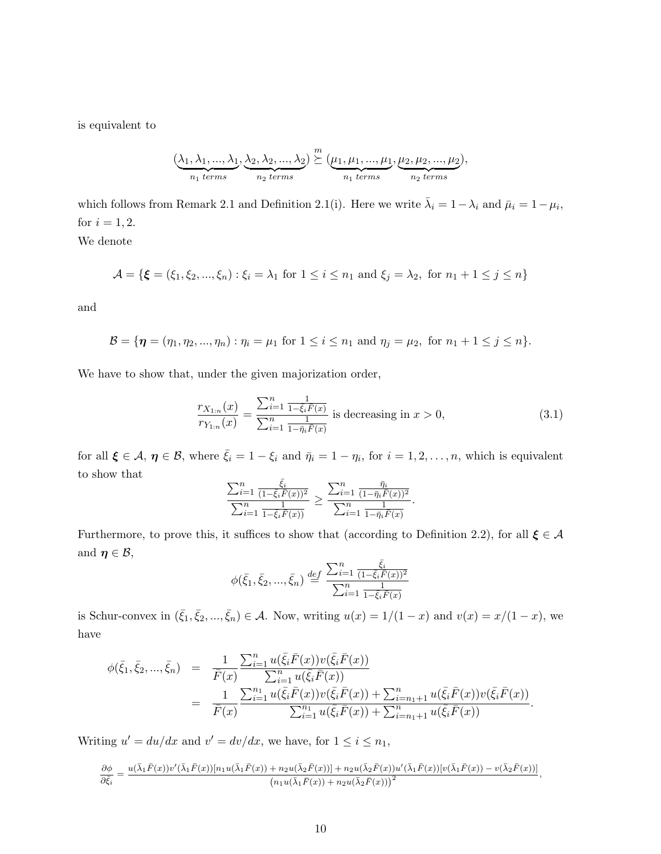is equivalent to

$$
(\underbrace{\lambda_1, \lambda_1, ..., \lambda_1}_{n_1 \text{ terms}}, \underbrace{\lambda_2, \lambda_2, ..., \lambda_2}_{n_2 \text{ terms}}) \stackrel{m}{\succeq} (\underbrace{\mu_1, \mu_1, ..., \mu_1}_{n_1 \text{ terms}}, \underbrace{\mu_2, \mu_2, ..., \mu_2}_{n_2 \text{ terms}}),
$$

which follows from Remark 2.1 and Definition 2.1(i). Here we write  $\bar{\lambda}_i = 1 - \lambda_i$  and  $\bar{\mu}_i = 1 - \mu_i$ , for  $i = 1, 2$ . We denote

 $\mathcal{A} = \{ \boldsymbol{\xi} = (\xi_1, \xi_2, ..., \xi_n) : \xi_i = \lambda_1 \text{ for } 1 \leq i \leq n_1 \text{ and } \xi_j = \lambda_2, \text{ for } n_1 + 1 \leq j \leq n \}$ 

and

$$
\mathcal{B} = \{ \eta = (\eta_1, \eta_2, ..., \eta_n) : \eta_i = \mu_1 \text{ for } 1 \leq i \leq n_1 \text{ and } \eta_j = \mu_2, \text{ for } n_1 + 1 \leq j \leq n \}.
$$

We have to show that, under the given majorization order,

$$
\frac{r_{X_{1:n}}(x)}{r_{Y_{1:n}}(x)} = \frac{\sum_{i=1}^{n} \frac{1}{1 - \xi_i \bar{F}(x)}}{\sum_{i=1}^{n} \frac{1}{1 - \bar{\eta}_i \bar{F}(x)}} \text{ is decreasing in } x > 0,
$$
\n(3.1)

for all  $\xi \in \mathcal{A}$ ,  $\eta \in \mathcal{B}$ , where  $\bar{\xi}_i = 1 - \xi_i$  and  $\bar{\eta}_i = 1 - \eta_i$ , for  $i = 1, 2, ..., n$ , which is equivalent to show that

$$
\frac{\sum_{i=1}^{n} \frac{\bar{\xi}_i}{(1-\bar{\xi}_i \bar{F}(x))^2}}{\sum_{i=1}^{n} \frac{1}{1-\bar{\xi}_i \bar{F}(x))}} \geq \frac{\sum_{i=1}^{n} \frac{\bar{\eta}_i}{(1-\bar{\eta}_i \bar{F}(x))^2}}{\sum_{i=1}^{n} \frac{1}{1-\bar{\eta}_i \bar{F}(x)}}.
$$

Furthermore, to prove this, it suffices to show that (according to Definition 2.2), for all  $\xi \in \mathcal{A}$ and  $\eta \in \mathcal{B}$ ,

$$
\phi(\bar{\xi}_1, \bar{\xi}_2, ..., \bar{\xi}_n) \stackrel{def}{=} \frac{\sum_{i=1}^n \frac{\bar{\xi}_i}{(1 - \bar{\xi}_i \bar{F}(x))^2}}{\sum_{i=1}^n \frac{1}{1 - \bar{\xi}_i \bar{F}(x)}}
$$

is Schur-convex in  $(\bar{\xi}_1, \bar{\xi}_2, ..., \bar{\xi}_n) \in \mathcal{A}$ . Now, writing  $u(x) = 1/(1-x)$  and  $v(x) = x/(1-x)$ , we have

$$
\begin{split}\n\phi(\bar{\xi}_{1},\bar{\xi}_{2},...,\bar{\xi}_{n}) &= \frac{1}{\bar{F}(x)} \frac{\sum_{i=1}^{n} u(\bar{\xi}_{i}\bar{F}(x))v(\bar{\xi}_{i}\bar{F}(x))}{\sum_{i=1}^{n} u(\bar{\xi}_{i}\bar{F}(x))} \\
&= \frac{1}{\bar{F}(x)} \frac{\sum_{i=1}^{n} u(\bar{\xi}_{i}\bar{F}(x))v(\bar{\xi}_{i}\bar{F}(x)) + \sum_{i=n_{1}+1}^{n} u(\bar{\xi}_{i}\bar{F}(x))v(\bar{\xi}_{i}\bar{F}(x))}{\sum_{i=1}^{n_{1}} u(\bar{\xi}_{i}\bar{F}(x)) + \sum_{i=n_{1}+1}^{n} u(\bar{\xi}_{i}\bar{F}(x))}.\n\end{split}
$$

Writing  $u' = du/dx$  and  $v' = dv/dx$ , we have, for  $1 \le i \le n_1$ ,

$$
\frac{\partial \phi}{\partial \bar{\xi}_i} = \frac{u(\bar{\lambda}_1 \bar{F}(x))v'(\bar{\lambda}_1 \bar{F}(x)) [n_1 u(\bar{\lambda}_1 \bar{F}(x)) + n_2 u(\bar{\lambda}_2 \bar{F}(x))] + n_2 u(\bar{\lambda}_2 \bar{F}(x))u'(\bar{\lambda}_1 \bar{F}(x)) [v(\bar{\lambda}_1 \bar{F}(x)) - v(\bar{\lambda}_2 \bar{F}(x))]}{(n_1 u(\bar{\lambda}_1 \bar{F}(x)) + n_2 u(\bar{\lambda}_2 \bar{F}(x)))^2},
$$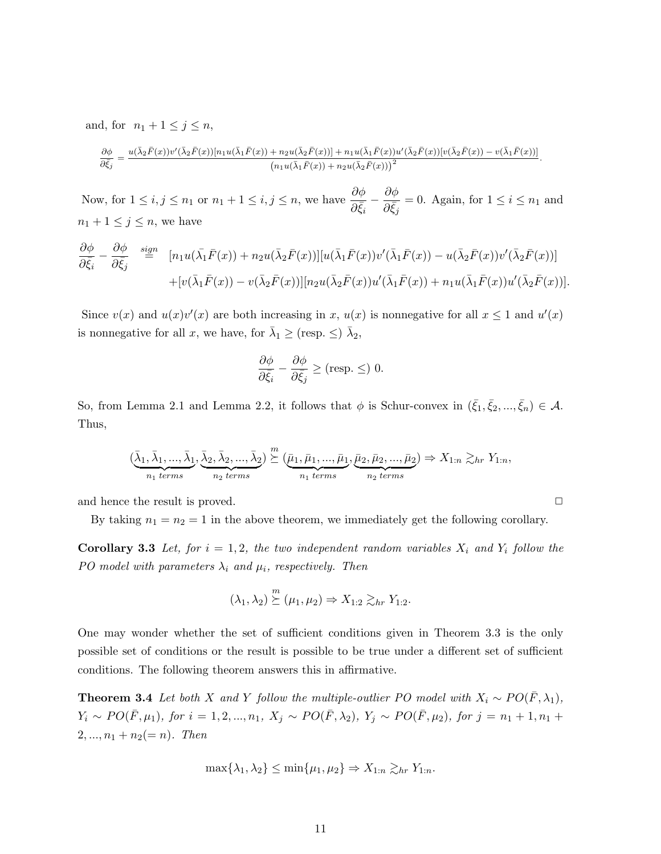and, for  $n_1 + 1 \leq j \leq n$ ,

$$
\frac{\partial \phi}{\partial \bar{\xi}_j} = \frac{u(\bar{\lambda}_2 \bar{F}(x))v'(\bar{\lambda}_2 \bar{F}(x))[n_1 u(\bar{\lambda}_1 \bar{F}(x)) + n_2 u(\bar{\lambda}_2 \bar{F}(x))] + n_1 u(\bar{\lambda}_1 \bar{F}(x))u'(\bar{\lambda}_2 \bar{F}(x))[v(\bar{\lambda}_2 \bar{F}(x)) - v(\bar{\lambda}_1 \bar{F}(x))]}{(n_1 u(\bar{\lambda}_1 \bar{F}(x)) + n_2 u(\bar{\lambda}_2 \bar{F}(x)))^2}
$$

.

Now, for  $1 \le i, j \le n_1$  or  $n_1 + 1 \le i, j \le n$ , we have  $\frac{\partial \phi}{\partial \bar{\xi}_i}$  –  $\partial \phi$  $\frac{\partial^2 \phi}{\partial \bar{\xi}_j} = 0$ . Again, for  $1 \leq i \leq n_1$  and  $n_1 + 1 \leq j \leq n$ , we have

$$
\frac{\partial \phi}{\partial \bar{\xi}_i} - \frac{\partial \phi}{\partial \bar{\xi}_j} \stackrel{\text{sign}}{=} [n_1 u(\bar{\lambda}_1 \bar{F}(x)) + n_2 u(\bar{\lambda}_2 \bar{F}(x))] [u(\bar{\lambda}_1 \bar{F}(x))v'(\bar{\lambda}_1 \bar{F}(x)) - u(\bar{\lambda}_2 \bar{F}(x))v'(\bar{\lambda}_2 \bar{F}(x))]
$$

$$
+ [v(\bar{\lambda}_1 \bar{F}(x)) - v(\bar{\lambda}_2 \bar{F}(x))] [n_2 u(\bar{\lambda}_2 \bar{F}(x))u'(\bar{\lambda}_1 \bar{F}(x)) + n_1 u(\bar{\lambda}_1 \bar{F}(x))u'(\bar{\lambda}_2 \bar{F}(x))].
$$

Since  $v(x)$  and  $u(x)v'(x)$  are both increasing in x,  $u(x)$  is nonnegative for all  $x \le 1$  and  $u'(x)$ is nonnegative for all x, we have, for  $\bar{\lambda}_1 \geq (\text{resp.} \leq) \bar{\lambda}_2$ ,

$$
\frac{\partial \phi}{\partial \bar{\xi}_i} - \frac{\partial \phi}{\partial \bar{\xi}_j} \ge (\text{resp.} \le) 0.
$$

So, from Lemma 2.1 and Lemma 2.2, it follows that  $\phi$  is Schur-convex in  $(\bar{\xi}_1, \bar{\xi}_2, ..., \bar{\xi}_n) \in \mathcal{A}$ . Thus,

$$
(\underbrace{\bar{\lambda}_1,\bar{\lambda}_1,...,\bar{\lambda}_1}_{n_1 \text{ terms}},\underbrace{\bar{\lambda}_2,\bar{\lambda}_2,...,\bar{\lambda}_2}_{n_2 \text{ terms}}) \stackrel{m}{\succeq} (\underbrace{\bar{\mu}_1,\bar{\mu}_1,...,\bar{\mu}_1}_{n_1 \text{ terms}},\underbrace{\bar{\mu}_2,\bar{\mu}_2,...,\bar{\mu}_2}_{n_2 \text{ terms}}) \Rightarrow X_{1:n} \gtrsim_{hr} Y_{1:n},
$$

and hence the result is proved.  $\Box$ 

By taking  $n_1 = n_2 = 1$  in the above theorem, we immediately get the following corollary.

**Corollary 3.3** Let, for  $i = 1, 2$ , the two independent random variables  $X_i$  and  $Y_i$  follow the PO model with parameters  $\lambda_i$  and  $\mu_i$ , respectively. Then

$$
(\lambda_1, \lambda_2) \stackrel{m}{\succeq} (\mu_1, \mu_2) \Rightarrow X_{1:2} \gtrsim_{hr} Y_{1:2}.
$$

One may wonder whether the set of sufficient conditions given in Theorem 3.3 is the only possible set of conditions or the result is possible to be true under a different set of sufficient conditions. The following theorem answers this in affirmative.

**Theorem 3.4** Let both X and Y follow the multiple-outlier PO model with  $X_i \sim PO(\bar{F}, \lambda_1)$ ,  $Y_i \sim PO(\bar{F}, \mu_1)$ , for  $i = 1, 2, ..., n_1$ ,  $X_j \sim PO(\bar{F}, \lambda_2)$ ,  $Y_j \sim PO(\bar{F}, \mu_2)$ , for  $j = n_1 + 1, n_1 +$  $2, ..., n_1 + n_2 (= n)$ . Then

$$
\max\{\lambda_1,\lambda_2\} \le \min\{\mu_1,\mu_2\} \Rightarrow X_{1:n} \gtrsim_{hr} Y_{1:n}.
$$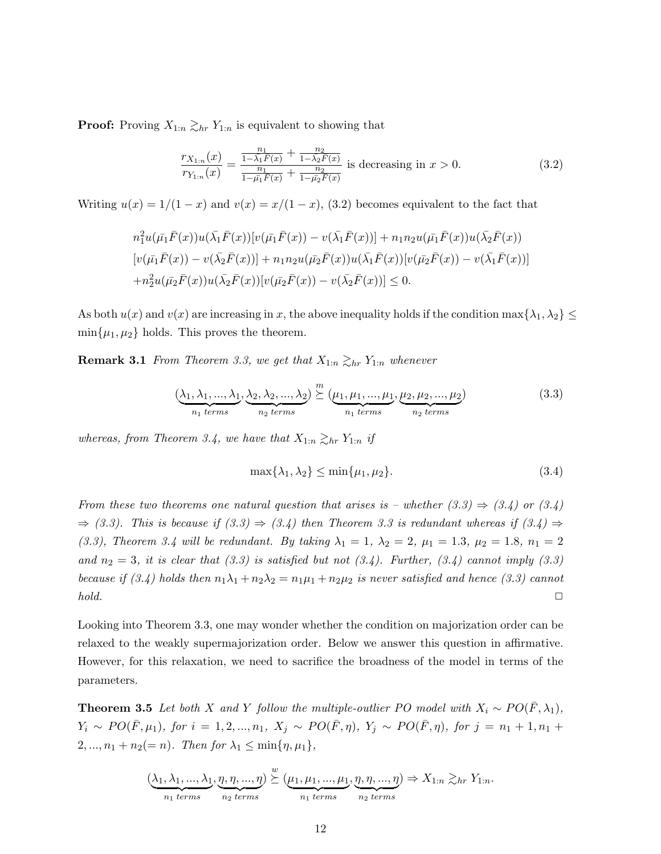**Proof:** Proving  $X_{1:n} \gtrsim_{hr} Y_{1:n}$  is equivalent to showing that

$$
\frac{r_{X_{1:n}}(x)}{r_{Y_{1:n}}(x)} = \frac{\frac{n_1}{1 - \lambda_1 \bar{F}(x)} + \frac{n_2}{1 - \lambda_2 \bar{F}(x)}}{\frac{n_1}{1 - \bar{\mu_1} F(x)} + \frac{n_2}{1 - \bar{\mu_2} F(x)}} \text{ is decreasing in } x > 0. \tag{3.2}
$$

Writing  $u(x) = 1/(1-x)$  and  $v(x) = x/(1-x)$ , (3.2) becomes equivalent to the fact that

$$
n_1^2 u(\bar{\mu_1}\bar{F}(x))u(\bar{\lambda_1}\bar{F}(x))[v(\bar{\mu_1}\bar{F}(x))-v(\bar{\lambda_1}\bar{F}(x))] + n_1n_2u(\bar{\mu_1}\bar{F}(x))u(\bar{\lambda_2}\bar{F}(x))
$$
  
\n
$$
[v(\bar{\mu_1}\bar{F}(x))-v(\bar{\lambda_2}\bar{F}(x))] + n_1n_2u(\bar{\mu_2}\bar{F}(x))u(\bar{\lambda_1}\bar{F}(x))[v(\bar{\mu_2}\bar{F}(x))-v(\bar{\lambda_1}\bar{F}(x))]
$$
  
\n
$$
+n_2^2u(\bar{\mu_2}\bar{F}(x))u(\bar{\lambda_2}\bar{F}(x))[v(\bar{\mu_2}\bar{F}(x))-v(\bar{\lambda_2}\bar{F}(x))] \leq 0.
$$

As both  $u(x)$  and  $v(x)$  are increasing in x, the above inequality holds if the condition max $\{\lambda_1, \lambda_2\} \leq$  $\min\{\mu_1, \mu_2\}$  holds. This proves the theorem.

**Remark 3.1** From Theorem 3.3, we get that  $X_{1:n} \gtrsim_{hr} Y_{1:n}$  whenever

$$
\underbrace{(\lambda_1, \lambda_1, \ldots, \lambda_1)}_{n_1 \text{ terms}}, \underbrace{\lambda_2, \lambda_2, \ldots, \lambda_2}_{n_2 \text{ terms}}) \stackrel{m}{\succeq} \underbrace{(\mu_1, \mu_1, \ldots, \mu_1)}_{n_1 \text{ terms}}, \underbrace{\mu_2, \mu_2, \ldots, \mu_2}_{n_2 \text{ terms}})
$$
\n(3.3)

whereas, from Theorem 3.4, we have that  $X_{1:n} \gtrsim_{hr} Y_{1:n}$  if

$$
\max\{\lambda_1, \lambda_2\} \le \min\{\mu_1, \mu_2\}.\tag{3.4}
$$

From these two theorems one natural question that arises is – whether  $(3.3) \Rightarrow (3.4)$  or  $(3.4)$  $\Rightarrow$  (3.3). This is because if (3.3)  $\Rightarrow$  (3.4) then Theorem 3.3 is redundant whereas if (3.4)  $\Rightarrow$ (3.3), Theorem 3.4 will be redundant. By taking  $\lambda_1 = 1$ ,  $\lambda_2 = 2$ ,  $\mu_1 = 1.3$ ,  $\mu_2 = 1.8$ ,  $n_1 = 2$ and  $n_2 = 3$ , it is clear that  $(3.3)$  is satisfied but not  $(3.4)$ . Further,  $(3.4)$  cannot imply  $(3.3)$ because if (3.4) holds then  $n_1\lambda_1 + n_2\lambda_2 = n_1\mu_1 + n_2\mu_2$  is never satisfied and hence (3.3) cannot  $hold.$ 

Looking into Theorem 3.3, one may wonder whether the condition on majorization order can be relaxed to the weakly supermajorization order. Below we answer this question in affirmative. However, for this relaxation, we need to sacrifice the broadness of the model in terms of the parameters.

**Theorem 3.5** Let both X and Y follow the multiple-outlier PO model with  $X_i \sim PO(\bar{F}, \lambda_1)$ ,  $Y_i \sim PO(\bar{F}, \mu_1)$ , for  $i = 1, 2, ..., n_1$ ,  $X_j \sim PO(\bar{F}, \eta)$ ,  $Y_j \sim PO(\bar{F}, \eta)$ , for  $j = n_1 + 1, n_1 +$ 2, ...,  $n_1 + n_2 (= n)$ . Then for  $\lambda_1 \le \min{\{\eta, \mu_1\}}$ ,

$$
(\underbrace{\lambda_1, \lambda_1, ..., \lambda_1}_{n_1 \text{ terms}}, \underbrace{\eta, \eta, ..., \eta}_{n_2 \text{ terms}}) \stackrel{w}{\succeq} (\underbrace{\mu_1, \mu_1, ..., \mu_1}_{n_1 \text{ terms}}, \underbrace{\eta, \eta, ..., \eta}_{n_2 \text{ terms}}) \Rightarrow X_{1:n} \gtrsim_{hr} Y_{1:n}.
$$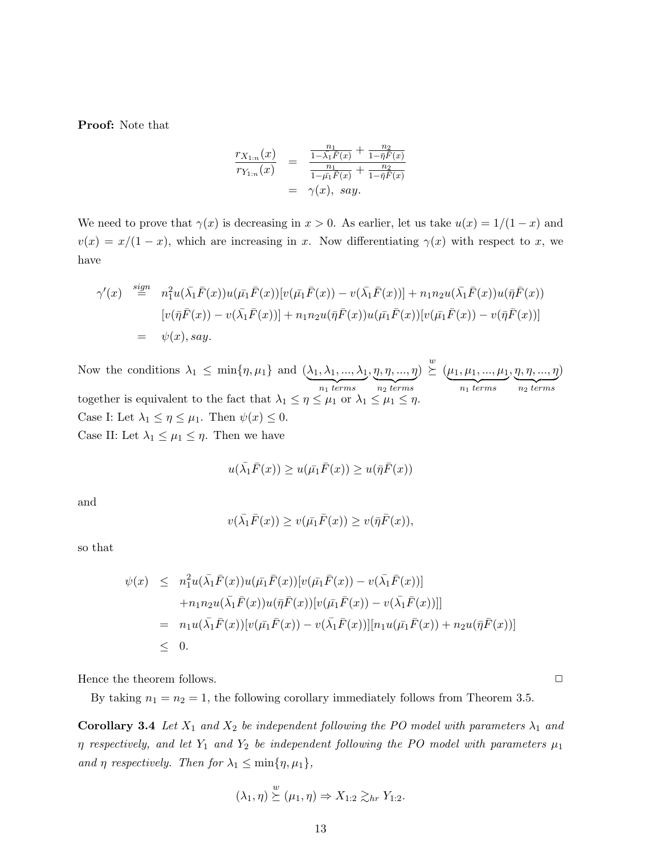Proof: Note that

$$
\frac{r_{X_{1:n}}(x)}{r_{Y_{1:n}}(x)} = \frac{\frac{n_1}{1-\bar{\lambda}_1 F(x)} + \frac{n_2}{1-\bar{\eta}F(x)}}{\frac{n_1}{1-\bar{\mu}_1 F(x)} + \frac{n_2}{1-\bar{\eta}F(x)}} = \gamma(x), \, say.
$$

We need to prove that  $\gamma(x)$  is decreasing in  $x > 0$ . As earlier, let us take  $u(x) = 1/(1-x)$  and  $v(x) = x/(1-x)$ , which are increasing in x. Now differentiating  $\gamma(x)$  with respect to x, we have

$$
\gamma'(x) \stackrel{sign}{=} n_1^2 u(\bar{\lambda}_1 \bar{F}(x)) u(\bar{\mu}_1 \bar{F}(x)) [v(\bar{\mu}_1 \bar{F}(x)) - v(\bar{\lambda}_1 \bar{F}(x))] + n_1 n_2 u(\bar{\lambda}_1 \bar{F}(x)) u(\bar{\eta} \bar{F}(x))
$$
  
\n
$$
[v(\bar{\eta} \bar{F}(x)) - v(\bar{\lambda}_1 \bar{F}(x))] + n_1 n_2 u(\bar{\eta} \bar{F}(x)) u(\bar{\mu}_1 \bar{F}(x)) [v(\bar{\mu}_1 \bar{F}(x)) - v(\bar{\eta} \bar{F}(x))]
$$
  
\n
$$
= \psi(x), say.
$$

Now the conditions  $\lambda_1 \leq \min\{\eta, \mu_1\}$  and  $(\lambda_1, \lambda_1, ..., \lambda_1)$  ${n_1}$  terms  $, \eta, \eta, ..., \eta$  $\overline{n_2 \ terms}$  $) \stackrel{w}{\succeq} (\mu_1, \mu_1, ..., \mu_1)$  ${n_1}$  terms  $, \eta, \eta, ..., \eta$  $\overline{n_2 \ terms}$ ) together is equivalent to the fact that  $\lambda_1 \leq \eta \leq \mu_1$  or  $\lambda_1 \leq \mu_1 \leq \eta$ . Case I: Let  $\lambda_1 \leq \eta \leq \mu_1$ . Then  $\psi(x) \leq 0$ . Case II: Let  $\lambda_1 \leq \mu_1 \leq \eta$ . Then we have

$$
u(\bar{\lambda_1}\bar{F}(x)) \ge u(\bar{\mu_1}\bar{F}(x)) \ge u(\bar{\eta}\bar{F}(x))
$$

and

$$
v(\bar{\lambda_1}\bar{F}(x)) \ge v(\bar{\mu_1}\bar{F}(x)) \ge v(\bar{\eta}\bar{F}(x)),
$$

so that

$$
\psi(x) \leq n_1^2 u(\bar{\lambda}_1 \bar{F}(x)) u(\bar{\mu}_1 \bar{F}(x)) [v(\bar{\mu}_1 \bar{F}(x)) - v(\bar{\lambda}_1 \bar{F}(x))]
$$
  
+ 
$$
n_1 n_2 u(\bar{\lambda}_1 \bar{F}(x)) u(\bar{\eta} \bar{F}(x)) [v(\bar{\mu}_1 \bar{F}(x)) - v(\bar{\lambda}_1 \bar{F}(x))]]
$$
  
= 
$$
n_1 u(\bar{\lambda}_1 \bar{F}(x)) [v(\bar{\mu}_1 \bar{F}(x)) - v(\bar{\lambda}_1 \bar{F}(x))][n_1 u(\bar{\mu}_1 \bar{F}(x)) + n_2 u(\bar{\eta} \bar{F}(x))]
$$
  

$$
\leq 0.
$$

Hence the theorem follows.  $\Box$ 

By taking  $n_1 = n_2 = 1$ , the following corollary immediately follows from Theorem 3.5.

**Corollary 3.4** Let  $X_1$  and  $X_2$  be independent following the PO model with parameters  $\lambda_1$  and  $\eta$  respectively, and let  $Y_1$  and  $Y_2$  be independent following the PO model with parameters  $\mu_1$ and  $\eta$  respectively. Then for  $\lambda_1 \leq \min\{\eta, \mu_1\},\$ 

$$
(\lambda_1, \eta) \stackrel{w}{\succeq} (\mu_1, \eta) \Rightarrow X_{1:2} \gtrsim_{hr} Y_{1:2}.
$$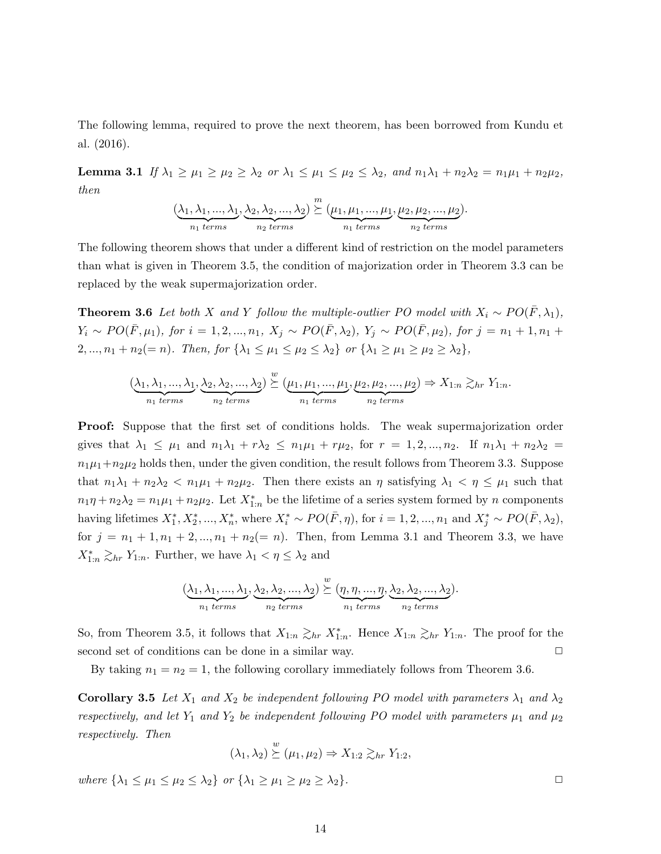The following lemma, required to prove the next theorem, has been borrowed from Kundu et al. (2016).

Lemma 3.1 If  $\lambda_1 \geq \mu_1 \geq \mu_2 \geq \lambda_2$  or  $\lambda_1 \leq \mu_1 \leq \mu_2 \leq \lambda_2$ , and  $n_1\lambda_1 + n_2\lambda_2 = n_1\mu_1 + n_2\mu_2$ , then

$$
(\underbrace{\lambda_1,\lambda_1,...,\lambda_1}_{n_1 \text{ terms}},\underbrace{\lambda_2,\lambda_2,...,\lambda_2}_{n_2 \text{ terms}}) \stackrel{m}{\succeq} (\underbrace{\mu_1,\mu_1,...,\mu_1}_{n_1 \text{ terms}},\underbrace{\mu_2,\mu_2,...,\mu_2}_{n_2 \text{ terms}}).
$$

The following theorem shows that under a different kind of restriction on the model parameters than what is given in Theorem 3.5, the condition of majorization order in Theorem 3.3 can be replaced by the weak supermajorization order.

**Theorem 3.6** Let both X and Y follow the multiple-outlier PO model with  $X_i \sim PO(\bar{F}, \lambda_1)$ ,  $Y_i \sim PO(\bar{F}, \mu_1)$ , for  $i = 1, 2, ..., n_1$ ,  $X_j \sim PO(\bar{F}, \lambda_2)$ ,  $Y_j \sim PO(\bar{F}, \mu_2)$ , for  $j = n_1 + 1, n_1 +$  $2, ..., n_1 + n_2(= n)$ . Then, for  $\{\lambda_1 \leq \mu_1 \leq \mu_2 \leq \lambda_2\}$  or  $\{\lambda_1 \geq \mu_1 \geq \mu_2 \geq \lambda_2\}$ ,

$$
(\underbrace{\lambda_1, \lambda_1, ..., \lambda_1}_{n_1 \text{ terms}}, \underbrace{\lambda_2, \lambda_2, ..., \lambda_2}_{n_2 \text{ terms}}) \stackrel{w}{\succeq} (\underbrace{\mu_1, \mu_1, ..., \mu_1}_{n_1 \text{ terms}}, \underbrace{\mu_2, \mu_2, ..., \mu_2}_{n_2 \text{ terms}}) \Rightarrow X_{1:n} \gtrsim_{hr} Y_{1:n}.
$$

**Proof:** Suppose that the first set of conditions holds. The weak supermajorization order gives that  $\lambda_1 \leq \mu_1$  and  $n_1\lambda_1 + r\lambda_2 \leq n_1\mu_1 + r\mu_2$ , for  $r = 1, 2, ..., n_2$ . If  $n_1\lambda_1 + n_2\lambda_2 =$  $n_1\mu_1+n_2\mu_2$  holds then, under the given condition, the result follows from Theorem 3.3. Suppose that  $n_1\lambda_1 + n_2\lambda_2 < n_1\mu_1 + n_2\mu_2$ . Then there exists an  $\eta$  satisfying  $\lambda_1 < \eta \leq \mu_1$  such that  $n_1\eta + n_2\lambda_2 = n_1\mu_1 + n_2\mu_2$ . Let  $X^*_{1:n}$  be the lifetime of a series system formed by n components having lifetimes  $X_1^*, X_2^*, ..., X_n^*$ , where  $X_i^* \sim PO(\bar{F}, \eta)$ , for  $i = 1, 2, ..., n_1$  and  $X_j^* \sim PO(\bar{F}, \lambda_2)$ , for  $j = n_1 + 1, n_1 + 2, ..., n_1 + n_2 (= n)$ . Then, from Lemma 3.1 and Theorem 3.3, we have  $X^*_{1:n} \gtrsim_{hr} Y_{1:n}$ . Further, we have  $\lambda_1 < \eta \leq \lambda_2$  and

$$
(\underbrace{\lambda_1,\lambda_1,...,\lambda_1}_{n_1 \text{ terms}},\underbrace{\lambda_2,\lambda_2,...,\lambda_2}_{n_2 \text{ terms}}) \stackrel{w}{\succeq} (\underbrace{\eta,\eta,...,\eta}_{n_1 \text{ terms}},\underbrace{\lambda_2,\lambda_2,...,\lambda_2}_{n_2 \text{ terms}}).
$$

So, from Theorem 3.5, it follows that  $X_{1:n} \gtrsim_{hr} X^*_{1:n}$ . Hence  $X_{1:n} \gtrsim_{hr} Y_{1:n}$ . The proof for the second set of conditions can be done in a similar way.  $\Box$ 

By taking  $n_1 = n_2 = 1$ , the following corollary immediately follows from Theorem 3.6.

**Corollary 3.5** Let  $X_1$  and  $X_2$  be independent following PO model with parameters  $\lambda_1$  and  $\lambda_2$ respectively, and let  $Y_1$  and  $Y_2$  be independent following PO model with parameters  $\mu_1$  and  $\mu_2$ respectively. Then

$$
(\lambda_1, \lambda_2) \stackrel{w}{\succeq} (\mu_1, \mu_2) \Rightarrow X_{1:2} \gtrsim_{hr} Y_{1:2},
$$

where  $\{\lambda_1 \leq \mu_1 \leq \mu_2 \leq \lambda_2\}$  or  $\{\lambda_1 \geq \mu_1 \geq \mu_2 \geq \lambda_2\}$ .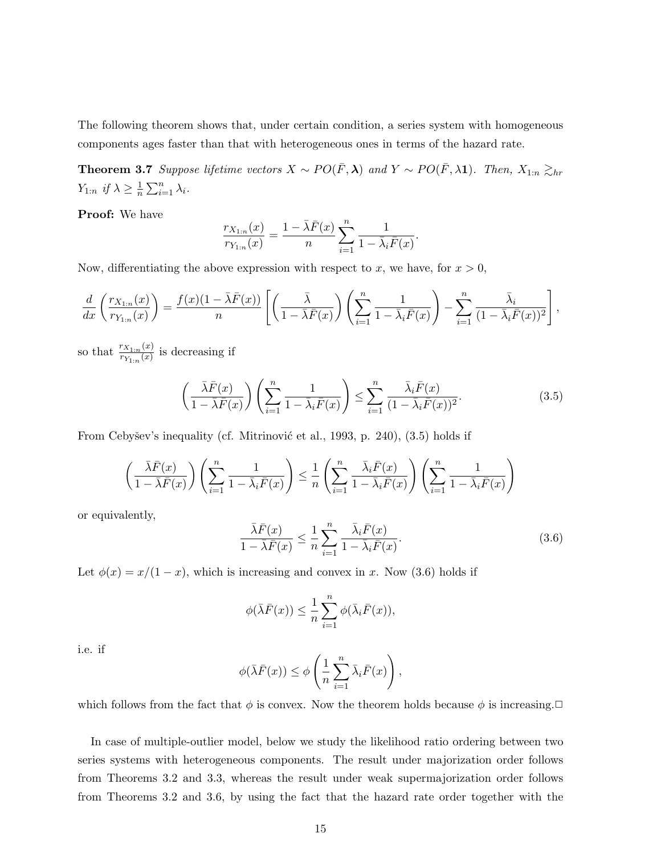The following theorem shows that, under certain condition, a series system with homogeneous components ages faster than that with heterogeneous ones in terms of the hazard rate.

**Theorem 3.7** Suppose lifetime vectors  $X \sim PO(\bar{F}, \lambda)$  and  $Y \sim PO(\bar{F}, \lambda 1)$ . Then,  $X_{1:n} \gtrsim_{hr}$  $Y_{1:n}$  if  $\lambda \geq \frac{1}{n}$  $\frac{1}{n} \sum_{i=1}^n \lambda_i$ .

Proof: We have

$$
\frac{r_{X_{1:n}}(x)}{r_{Y_{1:n}}(x)} = \frac{1 - \bar{\lambda}\bar{F}(x)}{n} \sum_{i=1}^{n} \frac{1}{1 - \bar{\lambda}_i \bar{F}(x)}.
$$

Now, differentiating the above expression with respect to x, we have, for  $x > 0$ ,

$$
\frac{d}{dx}\left(\frac{r_{X_{1:n}}(x)}{r_{Y_{1:n}}(x)}\right) = \frac{f(x)(1-\bar{\lambda}\bar{F}(x))}{n}\left[\left(\frac{\bar{\lambda}}{1-\bar{\lambda}\bar{F}(x)}\right)\left(\sum_{i=1}^{n}\frac{1}{1-\bar{\lambda}_{i}\bar{F}(x)}\right)-\sum_{i=1}^{n}\frac{\bar{\lambda}_{i}}{(1-\bar{\lambda}_{i}\bar{F}(x))^{2}}\right],
$$

so that  $\frac{r_{X_{1:n}}(x)}{r_X(x)}$  $\frac{r_{X_{1:n}}(x)}{r_{Y_{1:n}}(x)}$  is decreasing if

$$
\left(\frac{\bar{\lambda}\bar{F}(x)}{1-\bar{\lambda}\bar{F}(x)}\right)\left(\sum_{i=1}^{n}\frac{1}{1-\bar{\lambda}_{i}\bar{F}(x)}\right) \leq \sum_{i=1}^{n}\frac{\bar{\lambda}_{i}\bar{F}(x)}{(1-\bar{\lambda}_{i}\bar{F}(x))^{2}}.\tag{3.5}
$$

From Cebyšev's inequality (cf. Mitrinović et al., 1993, p. 240),  $(3.5)$  holds if

$$
\left(\frac{\bar{\lambda}\bar{F}(x)}{1-\bar{\lambda}\bar{F}(x)}\right)\left(\sum_{i=1}^{n}\frac{1}{1-\bar{\lambda}_{i}\bar{F}(x)}\right)\leq\frac{1}{n}\left(\sum_{i=1}^{n}\frac{\bar{\lambda}_{i}\bar{F}(x)}{1-\bar{\lambda}_{i}\bar{F}(x)}\right)\left(\sum_{i=1}^{n}\frac{1}{1-\bar{\lambda}_{i}\bar{F}(x)}\right)
$$

or equivalently,

$$
\frac{\bar{\lambda}\bar{F}(x)}{1-\bar{\lambda}\bar{F}(x)} \le \frac{1}{n} \sum_{i=1}^{n} \frac{\bar{\lambda}_{i}\bar{F}(x)}{1-\bar{\lambda}_{i}\bar{F}(x)}.
$$
\n(3.6)

Let  $\phi(x) = x/(1-x)$ , which is increasing and convex in x. Now (3.6) holds if

$$
\phi(\bar{\lambda}\bar{F}(x)) \leq \frac{1}{n} \sum_{i=1}^{n} \phi(\bar{\lambda}_{i}\bar{F}(x)),
$$

i.e. if

$$
\phi(\bar{\lambda}\bar{F}(x)) \leq \phi\left(\frac{1}{n}\sum_{i=1}^{n}\bar{\lambda}_{i}\bar{F}(x)\right),\,
$$

which follows from the fact that  $\phi$  is convex. Now the theorem holds because  $\phi$  is increasing.

In case of multiple-outlier model, below we study the likelihood ratio ordering between two series systems with heterogeneous components. The result under majorization order follows from Theorems 3.2 and 3.3, whereas the result under weak supermajorization order follows from Theorems 3.2 and 3.6, by using the fact that the hazard rate order together with the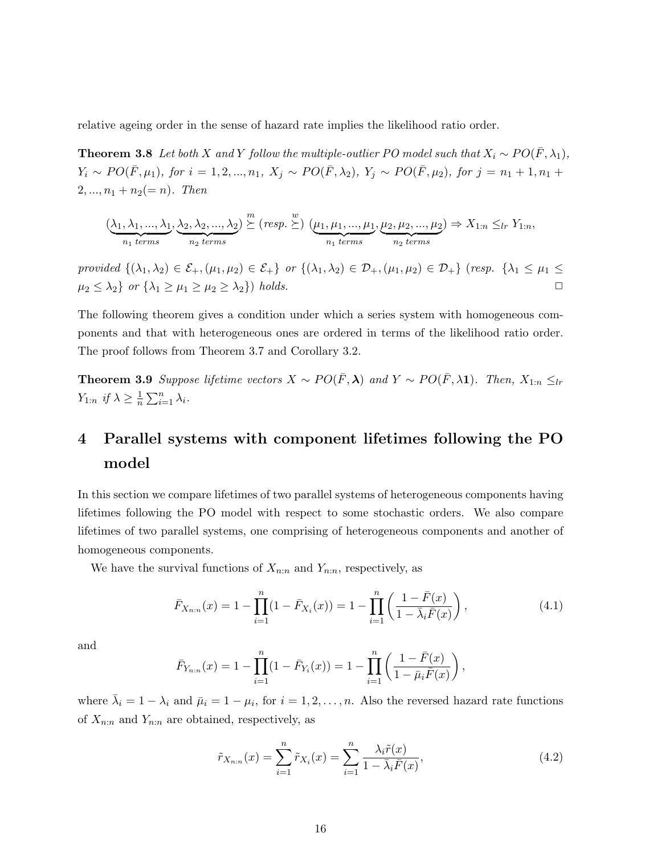relative ageing order in the sense of hazard rate implies the likelihood ratio order.

**Theorem 3.8** Let both X and Y follow the multiple-outlier PO model such that  $X_i \sim PO(\bar{F}, \lambda_1)$ ,  $Y_i \sim PO(\bar{F}, \mu_1)$ , for  $i = 1, 2, ..., n_1$ ,  $X_j \sim PO(\bar{F}, \lambda_2)$ ,  $Y_j \sim PO(\bar{F}, \mu_2)$ , for  $j = n_1 + 1, n_1 +$  $2, ..., n_1 + n_2 (= n)$ . Then

$$
(\underbrace{\lambda_1, \lambda_1, ..., \lambda_1}_{n_1 \text{ terms}}, \underbrace{\lambda_2, \lambda_2, ..., \lambda_2}_{n_2 \text{ terms}}) \stackrel{m}{\succeq} (resp. \stackrel{w}{\succeq}) (\underbrace{\mu_1, \mu_1, ..., \mu_1}_{n_1 \text{ terms}}, \underbrace{\mu_2, \mu_2, ..., \mu_2}_{n_2 \text{ terms}}) \Rightarrow X_{1:n} \leq_{lr} Y_{1:n},
$$

provided  $\{(\lambda_1, \lambda_2) \in \mathcal{E}_+, (\mu_1, \mu_2) \in \mathcal{E}_+\}$  or  $\{(\lambda_1, \lambda_2) \in \mathcal{D}_+, (\mu_1, \mu_2) \in \mathcal{D}_+\}$  (resp.  $\{\lambda_1 \leq \mu_1 \leq \mu_2 \leq \mu_2\}$  $\mu_2 \leq \lambda_2$  or  $\{\lambda_1 \geq \mu_1 \geq \mu_2 \geq \lambda_2\}$  holds.

The following theorem gives a condition under which a series system with homogeneous components and that with heterogeneous ones are ordered in terms of the likelihood ratio order. The proof follows from Theorem 3.7 and Corollary 3.2.

**Theorem 3.9** Suppose lifetime vectors  $X \sim PO(\bar{F}, \lambda)$  and  $Y \sim PO(\bar{F}, \lambda 1)$ . Then,  $X_{1:n} \leq_{lr}$  $Y_{1:n}$  if  $\lambda \geq \frac{1}{n}$  $\frac{1}{n} \sum_{i=1}^n \lambda_i$ .

# 4 Parallel systems with component lifetimes following the PO model

In this section we compare lifetimes of two parallel systems of heterogeneous components having lifetimes following the PO model with respect to some stochastic orders. We also compare lifetimes of two parallel systems, one comprising of heterogeneous components and another of homogeneous components.

We have the survival functions of  $X_{n:n}$  and  $Y_{n:n}$ , respectively, as

$$
\bar{F}_{X_{n:n}}(x) = 1 - \prod_{i=1}^{n} (1 - \bar{F}_{X_i}(x)) = 1 - \prod_{i=1}^{n} \left( \frac{1 - \bar{F}(x)}{1 - \bar{\lambda}_i \bar{F}(x)} \right),
$$
\n(4.1)

and

$$
\bar{F}_{Y_{n:n}}(x) = 1 - \prod_{i=1}^{n} (1 - \bar{F}_{Y_i}(x)) = 1 - \prod_{i=1}^{n} \left( \frac{1 - \bar{F}(x)}{1 - \bar{\mu}_i \bar{F}(x)} \right),
$$

where  $\bar{\lambda}_i = 1 - \lambda_i$  and  $\bar{\mu}_i = 1 - \mu_i$ , for  $i = 1, 2, ..., n$ . Also the reversed hazard rate functions of  $X_{n:n}$  and  $Y_{n:n}$  are obtained, respectively, as

$$
\tilde{r}_{X_{n:n}}(x) = \sum_{i=1}^{n} \tilde{r}_{X_i}(x) = \sum_{i=1}^{n} \frac{\lambda_i \tilde{r}(x)}{1 - \bar{\lambda}_i \bar{F}(x)},
$$
\n(4.2)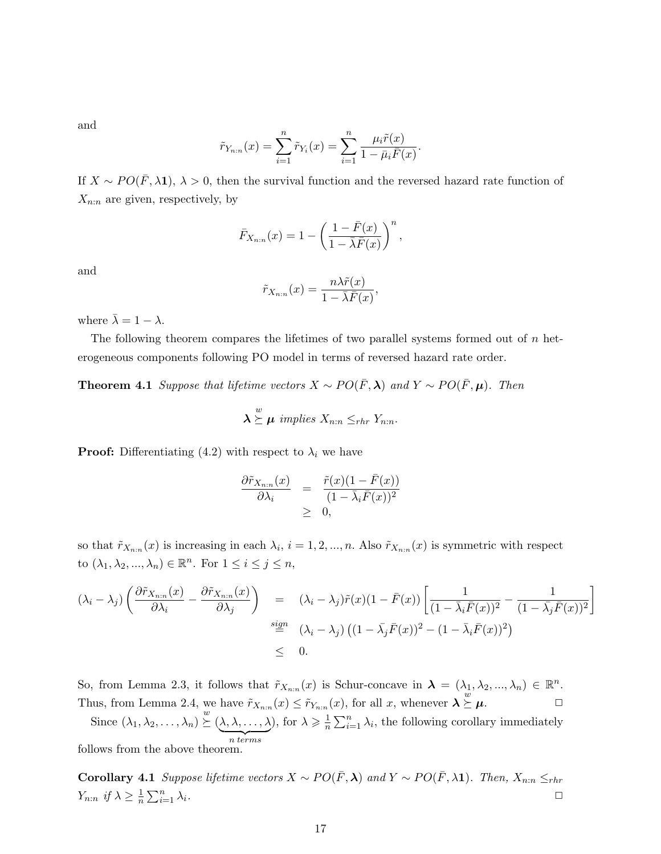and

$$
\tilde{r}_{Y_{n:n}}(x) = \sum_{i=1}^{n} \tilde{r}_{Y_i}(x) = \sum_{i=1}^{n} \frac{\mu_i \tilde{r}(x)}{1 - \bar{\mu}_i \bar{F}(x)}.
$$

If  $X \sim PO(\bar{F}, \lambda \mathbf{1}), \lambda > 0$ , then the survival function and the reversed hazard rate function of  $X_{n:n}$  are given, respectively, by

$$
\bar{F}_{X_{n:n}}(x) = 1 - \left(\frac{1 - \bar{F}(x)}{1 - \bar{\lambda}\bar{F}(x)}\right)^n,
$$

and

$$
\tilde{r}_{X_{n:n}}(x) = \frac{n\lambda \tilde{r}(x)}{1 - \bar{\lambda}\bar{F}(x)},
$$

where  $\bar{\lambda}=1-\lambda.$ 

The following theorem compares the lifetimes of two parallel systems formed out of  $n$  heterogeneous components following PO model in terms of reversed hazard rate order.

**Theorem 4.1** Suppose that lifetime vectors  $X \sim PO(\bar{F}, \lambda)$  and  $Y \sim PO(\bar{F}, \mu)$ . Then

$$
\lambda \stackrel{w}{\succeq} \mu \implies X_{n:n} \leq_{rhr} Y_{n:n}.
$$

**Proof:** Differentiating (4.2) with respect to  $\lambda_i$  we have

$$
\frac{\partial \tilde{r}_{X_{n:n}}(x)}{\partial \lambda_i} = \frac{\tilde{r}(x)(1 - \bar{F}(x))}{(1 - \bar{\lambda}_i \bar{F}(x))^2} \geq 0,
$$

so that  $\tilde{r}_{X_{n:n}}(x)$  is increasing in each  $\lambda_i$ ,  $i = 1, 2, ..., n$ . Also  $\tilde{r}_{X_{n:n}}(x)$  is symmetric with respect to  $(\lambda_1, \lambda_2, ..., \lambda_n) \in \mathbb{R}^n$ . For  $1 \leq i \leq j \leq n$ ,

$$
(\lambda_i - \lambda_j) \left( \frac{\partial \tilde{r}_{X_{n:n}}(x)}{\partial \lambda_i} - \frac{\partial \tilde{r}_{X_{n:n}}(x)}{\partial \lambda_j} \right) = (\lambda_i - \lambda_j) \tilde{r}(x) (1 - \bar{F}(x)) \left[ \frac{1}{(1 - \bar{\lambda}_i \bar{F}(x))^2} - \frac{1}{(1 - \bar{\lambda}_j \bar{F}(x))^2} \right]
$$
  

$$
\stackrel{sign}{=} (\lambda_i - \lambda_j) ((1 - \bar{\lambda}_j \bar{F}(x))^2 - (1 - \bar{\lambda}_i \bar{F}(x))^2)
$$
  

$$
\leq 0.
$$

So, from Lemma 2.3, it follows that  $\tilde{r}_{X_{n:n}}(x)$  is Schur-concave in  $\lambda = (\lambda_1, \lambda_2, ..., \lambda_n) \in \mathbb{R}^n$ . Thus, from Lemma 2.4, we have  $\tilde{r}_{X_{n:n}}(x) \leq \tilde{r}_{Y_{n:n}}(x)$ , for all x, whenever  $\lambda \geq$  $\stackrel{\omega}{\succeq}\mu.$ 

Since  $(\lambda_1, \lambda_2, \ldots, \lambda_n) \overset{w}{\succeq} (\lambda, \lambda, \ldots, \lambda)$  $\overline{n \ terms}$ ), for  $\lambda \geqslant \frac{1}{n}$  $\frac{1}{n} \sum_{i=1}^{n} \lambda_i$ , the following corollary immediately follows from the above theorem.

Corollary 4.1 Suppose lifetime vectors  $X \sim PO(\bar{F}, \lambda)$  and  $Y \sim PO(\bar{F}, \lambda)$ . Then,  $X_{n:n} \leq_{rhr}$  $Y_{n:n}$  if  $\lambda \geq \frac{1}{n}$  $\frac{1}{n} \sum_{i=1}^n$  $\sum_{i=1}^n \lambda_i$ .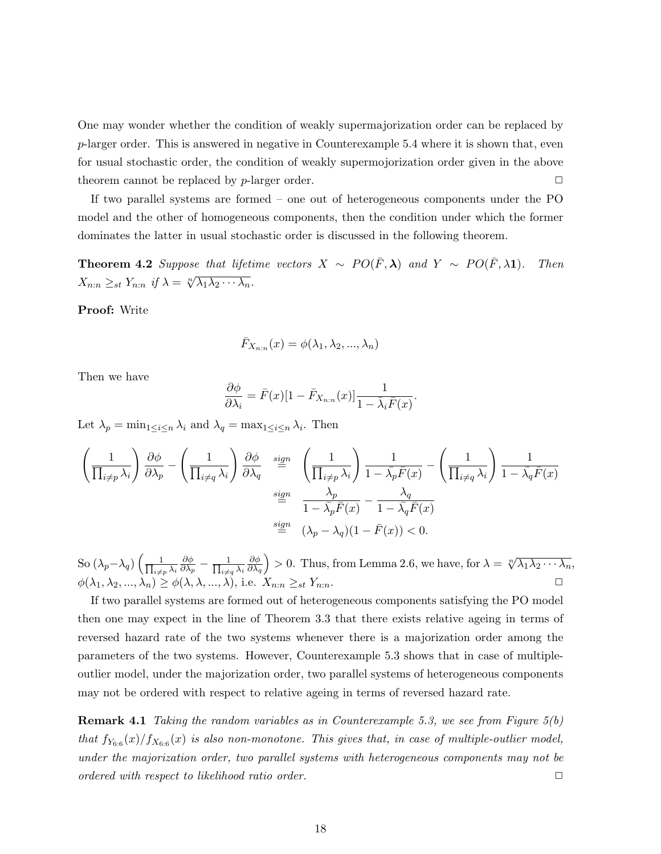One may wonder whether the condition of weakly supermajorization order can be replaced by  $p$ -larger order. This is answered in negative in Counterexample 5.4 where it is shown that, even for usual stochastic order, the condition of weakly supermojorization order given in the above theorem cannot be replaced by  $p$ -larger order.  $\Box$ 

If two parallel systems are formed – one out of heterogeneous components under the PO model and the other of homogeneous components, then the condition under which the former dominates the latter in usual stochastic order is discussed in the following theorem.

**Theorem 4.2** Suppose that lifetime vectors  $X \sim PO(\bar{F}, \lambda)$  and  $Y \sim PO(\bar{F}, \lambda 1)$ . Then  $X_{n:n} \geq_{st} Y_{n:n}$  if  $\lambda = \sqrt[n]{\lambda_1 \lambda_2 \cdots \lambda_n}$ .

Proof: Write

$$
\bar{F}_{X_{n:n}}(x)=\phi(\lambda_1,\lambda_2,...,\lambda_n)
$$

Then we have

$$
\frac{\partial \phi}{\partial \lambda_i} = \bar{F}(x)[1 - \bar{F}_{X_{n:n}}(x)] \frac{1}{1 - \bar{\lambda}_i \bar{F}(x)}.
$$

Let  $\lambda_p = \min_{1 \leq i \leq n} \lambda_i$  and  $\lambda_q = \max_{1 \leq i \leq n} \lambda_i$ . Then

$$
\left(\frac{1}{\prod_{i\neq p}\lambda_i}\right)\frac{\partial\phi}{\partial\lambda_p} - \left(\frac{1}{\prod_{i\neq q}\lambda_i}\right)\frac{\partial\phi}{\partial\lambda_q} \stackrel{sign}{=} \left(\frac{1}{\prod_{i\neq p}\lambda_i}\right)\frac{1}{1-\bar{\lambda_p}\bar{F}(x)} - \left(\frac{1}{\prod_{i\neq q}\lambda_i}\right)\frac{1}{1-\bar{\lambda_q}\bar{F}(x)}
$$
\n
$$
\stackrel{sign}{=} \frac{\lambda_p}{1-\bar{\lambda_p}\bar{F}(x)} - \frac{\lambda_q}{1-\bar{\lambda_q}\bar{F}(x)}
$$
\n
$$
\stackrel{sign}{=} (\lambda_p - \lambda_q)(1-\bar{F}(x)) < 0.
$$

So  $(\lambda_p-\lambda_q)\left(\frac{1}{\prod_{i\neq q}n_i}\right)$  $_{i\neq p}$   $\lambda_i$ ∂φ  $\frac{\partial \phi}{\partial \lambda_p} - \frac{1}{\prod_{i \neq j}}$  $\lambda_{i\neq q}\lambda_i$ ∂φ  $\partial\lambda_q$ ) > 0. Thus, from Lemma 2.6, we have, for  $\lambda = \sqrt[n]{\lambda_1 \lambda_2 \cdots \lambda_n}$ ,  $\phi(\lambda_1, \lambda_2, ..., \lambda_n) \ge \phi(\lambda, \lambda, ..., \lambda),$  i.e.  $X_{n:n} \ge$ st  $Y_{n:n}$ .

If two parallel systems are formed out of heterogeneous components satisfying the PO model then one may expect in the line of Theorem 3.3 that there exists relative ageing in terms of reversed hazard rate of the two systems whenever there is a majorization order among the parameters of the two systems. However, Counterexample 5.3 shows that in case of multipleoutlier model, under the majorization order, two parallel systems of heterogeneous components may not be ordered with respect to relative ageing in terms of reversed hazard rate.

**Remark 4.1** Taking the random variables as in Counterexample 5.3, we see from Figure  $5(b)$ that  $f_{Y_{6:6}}(x)/f_{X_{6:6}}(x)$  is also non-monotone. This gives that, in case of multiple-outlier model, under the majorization order, two parallel systems with heterogeneous components may not be  $\Box$  ordered with respect to likelihood ratio order.  $\Box$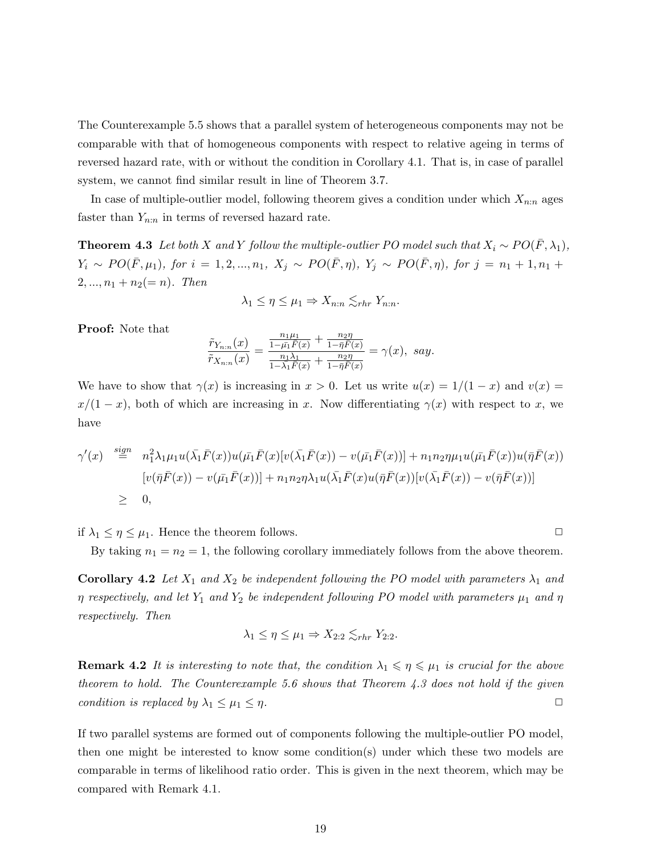The Counterexample 5.5 shows that a parallel system of heterogeneous components may not be comparable with that of homogeneous components with respect to relative ageing in terms of reversed hazard rate, with or without the condition in Corollary 4.1. That is, in case of parallel system, we cannot find similar result in line of Theorem 3.7.

In case of multiple-outlier model, following theorem gives a condition under which  $X_{n:n}$  ages faster than  $Y_{n:n}$  in terms of reversed hazard rate.

**Theorem 4.3** Let both X and Y follow the multiple-outlier PO model such that  $X_i \sim PO(\bar{F}, \lambda_1)$ ,  $Y_i \sim PO(\bar{F}, \mu_1)$ , for  $i = 1, 2, ..., n_1$ ,  $X_j \sim PO(\bar{F}, \eta)$ ,  $Y_j \sim PO(\bar{F}, \eta)$ , for  $j = n_1 + 1, n_1 +$  $2, ..., n_1 + n_2 (= n)$ . Then

$$
\lambda_1 \le \eta \le \mu_1 \Rightarrow X_{n:n} \lesssim_{rhr} Y_{n:n}.
$$

Proof: Note that

$$
\frac{\tilde{r}_{Y_{n:n}}(x)}{\tilde{r}_{X_{n:n}}(x)} = \frac{\frac{n_1\mu_1}{1 - \bar{\mu_1}\bar{F}(x)} + \frac{n_2\eta}{1 - \bar{\eta}\bar{F}(x)}}{\frac{n_1\lambda_1}{1 - \lambda_1\bar{F}(x)} + \frac{n_2\eta}{1 - \bar{\eta}\bar{F}(x)}} = \gamma(x), \ \ say.
$$

We have to show that  $\gamma(x)$  is increasing in  $x > 0$ . Let us write  $u(x) = 1/(1-x)$  and  $v(x) =$  $x/(1-x)$ , both of which are increasing in x. Now differentiating  $\gamma(x)$  with respect to x, we have

$$
\gamma'(x) \stackrel{sign}{=} n_1^2 \lambda_1 \mu_1 u(\bar{\lambda}_1 \bar{F}(x)) u(\bar{\mu}_1 \bar{F}(x)[v(\bar{\lambda}_1 \bar{F}(x)) - v(\bar{\mu}_1 \bar{F}(x))] + n_1 n_2 \eta \mu_1 u(\bar{\mu}_1 \bar{F}(x)) u(\bar{\eta} \bar{F}(x))
$$
  
\n
$$
[v(\bar{\eta} \bar{F}(x)) - v(\bar{\mu}_1 \bar{F}(x))] + n_1 n_2 \eta \lambda_1 u(\bar{\lambda}_1 \bar{F}(x) u(\bar{\eta} \bar{F}(x)) [v(\bar{\lambda}_1 \bar{F}(x)) - v(\bar{\eta} \bar{F}(x))]
$$
  
\n
$$
\geq 0,
$$

if  $\lambda_1 \leq \eta \leq \mu_1$ . Hence the theorem follows.

By taking  $n_1 = n_2 = 1$ , the following corollary immediately follows from the above theorem.

**Corollary 4.2** Let  $X_1$  and  $X_2$  be independent following the PO model with parameters  $\lambda_1$  and  $\eta$  respectively, and let  $Y_1$  and  $Y_2$  be independent following PO model with parameters  $\mu_1$  and  $\eta$ respectively. Then

$$
\lambda_1 \leq \eta \leq \mu_1 \Rightarrow X_{2:2} \lesssim_{rhr} Y_{2:2}.
$$

**Remark 4.2** It is interesting to note that, the condition  $\lambda_1 \leq \eta \leq \mu_1$  is crucial for the above theorem to hold. The Counterexample 5.6 shows that Theorem 4.3 does not hold if the given condition is replaced by  $\lambda_1 \leq \mu_1 \leq \eta$ .

If two parallel systems are formed out of components following the multiple-outlier PO model, then one might be interested to know some condition(s) under which these two models are comparable in terms of likelihood ratio order. This is given in the next theorem, which may be compared with Remark 4.1.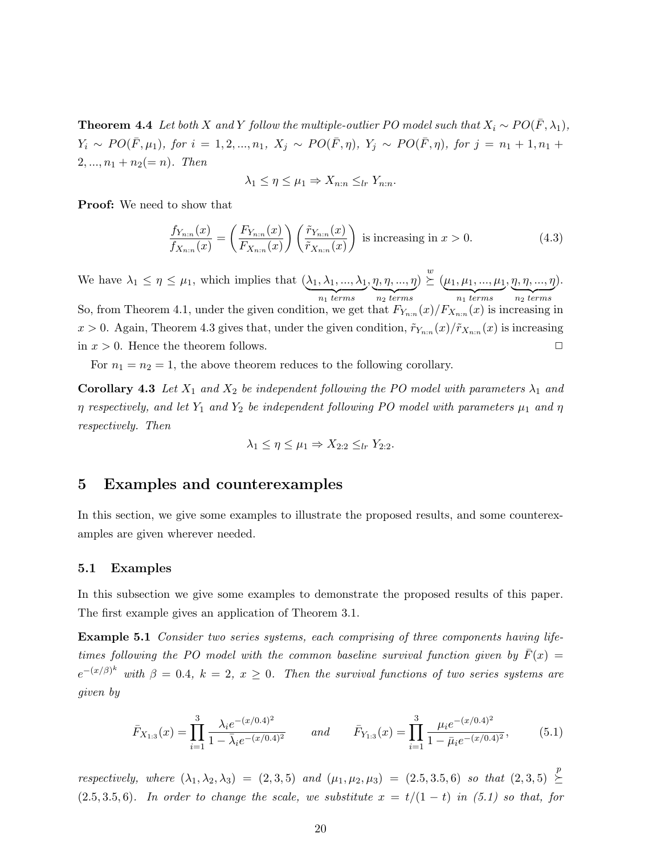**Theorem 4.4** Let both X and Y follow the multiple-outlier PO model such that  $X_i \sim PO(\bar{F}, \lambda_1)$ ,  $Y_i \sim PO(\bar{F}, \mu_1)$ , for  $i = 1, 2, ..., n_1$ ,  $X_j \sim PO(\bar{F}, \eta)$ ,  $Y_j \sim PO(\bar{F}, \eta)$ , for  $j = n_1 + 1, n_1 +$  $2, ..., n_1 + n_2 (= n)$ . Then

$$
\lambda_1 \le \eta \le \mu_1 \Rightarrow X_{n:n} \le_{lr} Y_{n:n}.
$$

Proof: We need to show that

$$
\frac{f_{Y_{n:n}}(x)}{f_{X_{n:n}}(x)} = \left(\frac{F_{Y_{n:n}}(x)}{F_{X_{n:n}}(x)}\right) \left(\frac{\tilde{r}_{Y_{n:n}}(x)}{\tilde{r}_{X_{n:n}}(x)}\right) \text{ is increasing in } x > 0. \tag{4.3}
$$

We have  $\lambda_1 \leq \eta \leq \mu_1$ , which implies that  $(\lambda_1, \lambda_1, ..., \lambda_1)$  ${n_1}$  terms  $, \eta, \eta, ..., \eta$  $\overbrace{n_2 \ terms}$  $) \stackrel{w}{\succeq}$   $(\mu_1, \mu_1, ..., \mu_1)$  ${n_1}$  terms  $\eta$ ,  $\eta$ , ...,  $\eta$  $\overbrace{n_2 \ terms}$ ). So, from Theorem 4.1, under the given condition, we get that  $F_{Y_{n:n}}(x)/F_{X_{n:n}}(x)$  is increasing in  $x > 0$ . Again, Theorem 4.3 gives that, under the given condition,  $\tilde{r}_{Y_{n:n}}(x)/\tilde{r}_{X_{n:n}}(x)$  is increasing in  $x > 0$ . Hence the theorem follows.

For  $n_1 = n_2 = 1$ , the above theorem reduces to the following corollary.

**Corollary 4.3** Let  $X_1$  and  $X_2$  be independent following the PO model with parameters  $\lambda_1$  and  $\eta$  respectively, and let  $Y_1$  and  $Y_2$  be independent following PO model with parameters  $\mu_1$  and  $\eta$ respectively. Then

$$
\lambda_1 \leq \eta \leq \mu_1 \Rightarrow X_{2:2} \leq_{lr} Y_{2:2}.
$$

#### 5 Examples and counterexamples

In this section, we give some examples to illustrate the proposed results, and some counterexamples are given wherever needed.

#### 5.1 Examples

In this subsection we give some examples to demonstrate the proposed results of this paper. The first example gives an application of Theorem 3.1.

Example 5.1 Consider two series systems, each comprising of three components having lifetimes following the PO model with the common baseline survival function given by  $\bar{F}(x) =$  $e^{-(x/\beta)^k}$  with  $\beta = 0.4$ ,  $k = 2$ ,  $x \ge 0$ . Then the survival functions of two series systems are given by

$$
\bar{F}_{X_{1:3}}(x) = \prod_{i=1}^{3} \frac{\lambda_i e^{-(x/0.4)^2}}{1 - \bar{\lambda}_i e^{-(x/0.4)^2}} \quad \text{and} \quad \bar{F}_{Y_{1:3}}(x) = \prod_{i=1}^{3} \frac{\mu_i e^{-(x/0.4)^2}}{1 - \bar{\mu}_i e^{-(x/0.4)^2}},
$$
(5.1)

respectively, where  $(\lambda_1, \lambda_2, \lambda_3) = (2, 3, 5)$  and  $(\mu_1, \mu_2, \mu_3) = (2.5, 3.5, 6)$  so that  $(2, 3, 5) \geq$  $\leq$  $(2.5, 3.5, 6)$ . In order to change the scale, we substitute  $x = t/(1-t)$  in (5.1) so that, for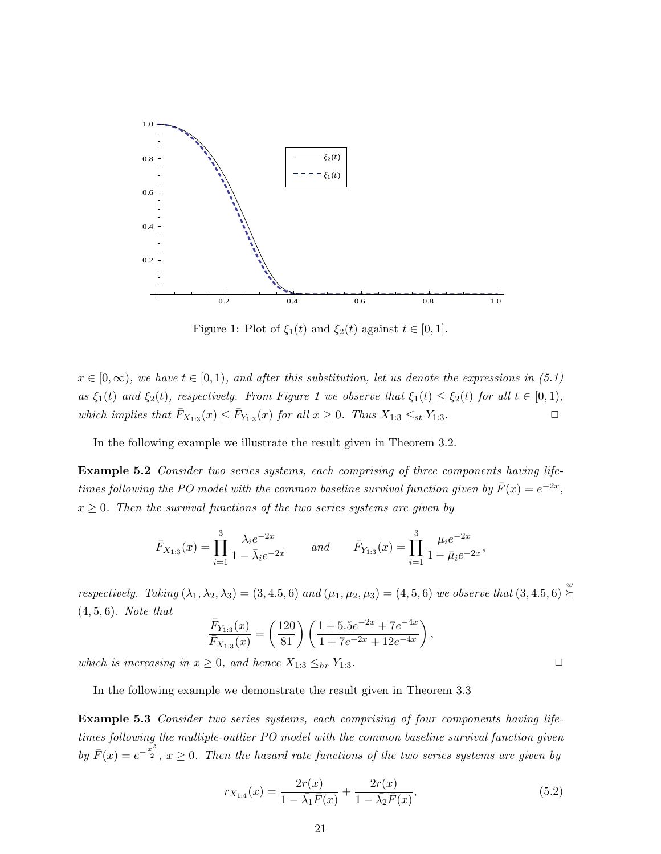

Figure 1: Plot of  $\xi_1(t)$  and  $\xi_2(t)$  against  $t \in [0, 1]$ .

 $x \in [0,\infty)$ , we have  $t \in [0,1)$ , and after this substitution, let us denote the expressions in (5.1) as  $\xi_1(t)$  and  $\xi_2(t)$ , respectively. From Figure 1 we observe that  $\xi_1(t) \leq \xi_2(t)$  for all  $t \in [0,1)$ , which implies that  $\bar{F}_{X_{1:3}}(x) \leq \bar{F}_{Y_{1:3}}(x)$  for all  $x \geq 0$ . Thus  $X_{1:3} \leq_{st} Y_{1:3}$ .

In the following example we illustrate the result given in Theorem 3.2.

Example 5.2 Consider two series systems, each comprising of three components having lifetimes following the PO model with the common baseline survival function given by  $\bar{F}(x) = e^{-2x}$ ,  $x \geq 0$ . Then the survival functions of the two series systems are given by

$$
\bar{F}_{X_{1:3}}(x) = \prod_{i=1}^{3} \frac{\lambda_i e^{-2x}}{1 - \bar{\lambda}_i e^{-2x}}
$$
 and  $\bar{F}_{Y_{1:3}}(x) = \prod_{i=1}^{3} \frac{\mu_i e^{-2x}}{1 - \bar{\mu}_i e^{-2x}}$ 

respectively. Taking  $(\lambda_1, \lambda_2, \lambda_3) = (3, 4.5, 6)$  and  $(\mu_1, \mu_2, \mu_3) = (4, 5, 6)$  we observe that  $(3, 4.5, 6) \stackrel{w}{\succeq}$  $\leq$ (4, 5, 6). Note that

$$
\frac{\bar{F}_{Y_{1:3}}(x)}{\bar{F}_{X_{1:3}}(x)} = \left(\frac{120}{81}\right) \left(\frac{1+5.5e^{-2x} + 7e^{-4x}}{1+7e^{-2x} + 12e^{-4x}}\right),
$$

which is increasing in  $x \geq 0$ , and hence  $X_{1:3} \leq_{hr} Y_{1:3}$ .

In the following example we demonstrate the result given in Theorem 3.3

Example 5.3 Consider two series systems, each comprising of four components having lifetimes following the multiple-outlier PO model with the common baseline survival function given by  $\bar{F}(x) = e^{-\frac{x^2}{2}}$ ,  $x \ge 0$ . Then the hazard rate functions of the two series systems are given by

$$
r_{X_{1:4}}(x) = \frac{2r(x)}{1 - \overline{\lambda}_1 \overline{F}(x)} + \frac{2r(x)}{1 - \overline{\lambda}_2 \overline{F}(x)},
$$
(5.2)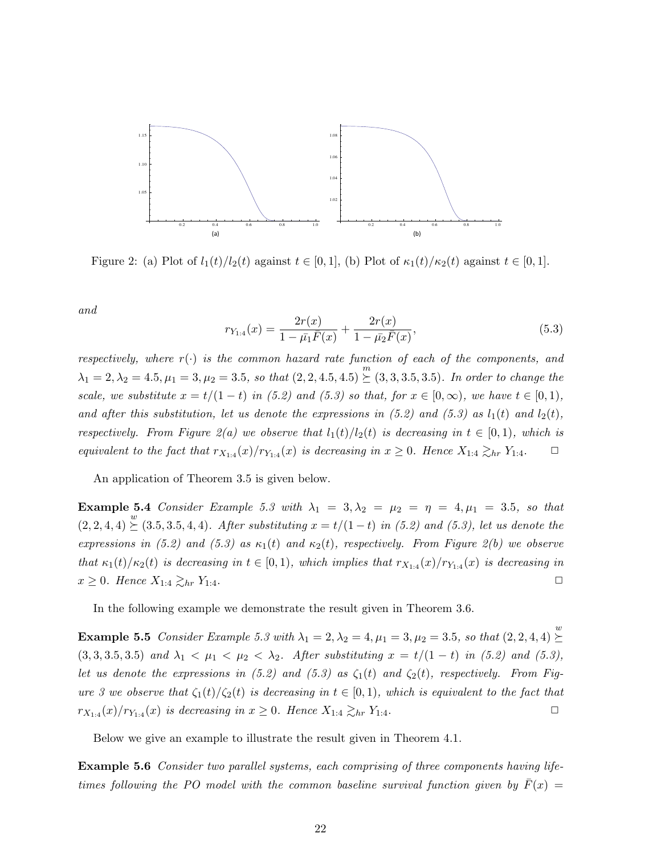

Figure 2: (a) Plot of  $l_1(t)/l_2(t)$  against  $t \in [0,1]$ , (b) Plot of  $\kappa_1(t)/\kappa_2(t)$  against  $t \in [0,1]$ .

and

$$
r_{Y_{1:4}}(x) = \frac{2r(x)}{1 - \bar{\mu}_1 \bar{F}(x)} + \frac{2r(x)}{1 - \bar{\mu}_2 \bar{F}(x)},
$$
\n(5.3)

respectively, where  $r(\cdot)$  is the common hazard rate function of each of the components, and  $\lambda_1 = 2, \lambda_2 = 4.5, \mu_1 = 3, \mu_2 = 3.5, so that (2, 2, 4.5, 4.5) \geq (3, 3, 3.5, 3.5).$  In order to change the scale, we substitute  $x = t/(1-t)$  in (5.2) and (5.3) so that, for  $x \in [0,\infty)$ , we have  $t \in [0,1)$ , and after this substitution, let us denote the expressions in (5.2) and (5.3) as  $l_1(t)$  and  $l_2(t)$ , respectively. From Figure 2(a) we observe that  $l_1(t)/l_2(t)$  is decreasing in  $t \in [0,1)$ , which is equivalent to the fact that  $r_{X_{1:4}}(x)/r_{Y_{1:4}}(x)$  is decreasing in  $x \geq 0$ . Hence  $X_{1:4} \gtrsim_{hr} Y_{1:4}$ .

An application of Theorem 3.5 is given below.

Example 5.4 Consider Example 5.3 with  $\lambda_1 = 3, \lambda_2 = \mu_2 = \eta = 4, \mu_1 = 3.5$ , so that  $(2, 2, 4, 4) \stackrel{w}{\succeq} (3.5, 3.5, 4, 4)$ . After substituting  $x = t/(1-t)$  in (5.2) and (5.3), let us denote the expressions in (5.2) and (5.3) as  $\kappa_1(t)$  and  $\kappa_2(t)$ , respectively. From Figure 2(b) we observe that  $\kappa_1(t)/\kappa_2(t)$  is decreasing in  $t \in [0,1)$ , which implies that  $r_{X_{1:4}}(x)/r_{Y_{1:4}}(x)$  is decreasing in  $x \geq 0$ . Hence  $X_{1:4} \gtrsim_{hr} Y_{1:4}$ .

In the following example we demonstrate the result given in Theorem 3.6.

**Example 5.5** Consider Example 5.3 with  $\lambda_1 = 2, \lambda_2 = 4, \mu_1 = 3, \mu_2 = 3.5$ , so that  $(2, 2, 4, 4) \geq 0$  $\leq$ (3, 3, 3, 5, 3.5) and  $\lambda_1 < \mu_1 < \mu_2 < \lambda_2$ . After substituting  $x = t/(1-t)$  in (5.2) and (5.3), let us denote the expressions in (5.2) and (5.3) as  $\zeta_1(t)$  and  $\zeta_2(t)$ , respectively. From Figure 3 we observe that  $\zeta_1(t)/\zeta_2(t)$  is decreasing in  $t \in [0,1)$ , which is equivalent to the fact that  $r_{X_{1:4}}(x)/r_{Y_{1:4}}(x)$  is decreasing in  $x \geq 0$ . Hence  $X_{1:4} \gtrsim_{hr} Y_{1:4}$ .

Below we give an example to illustrate the result given in Theorem 4.1.

**Example 5.6** Consider two parallel systems, each comprising of three components having lifetimes following the PO model with the common baseline survival function given by  $F(x) =$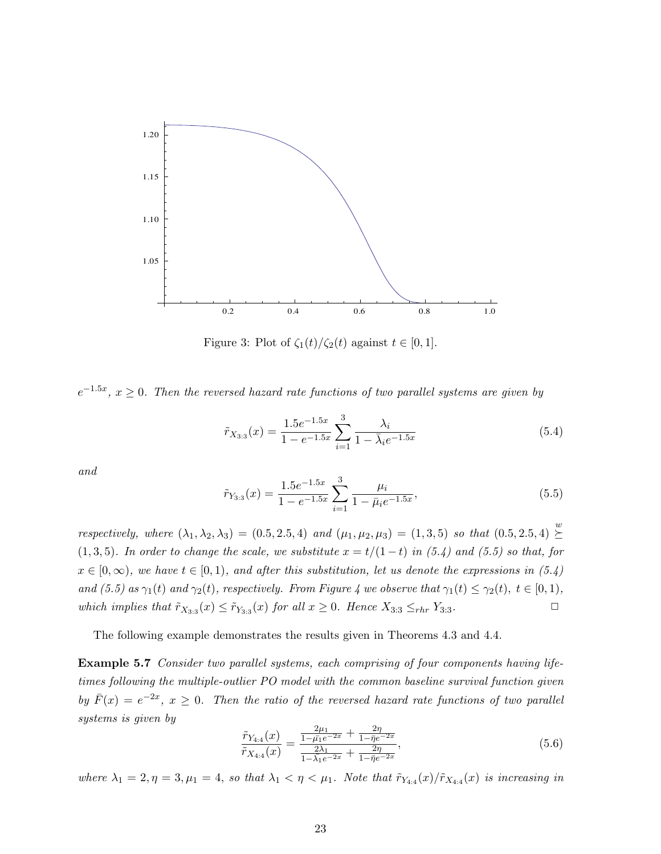

Figure 3: Plot of  $\zeta_1(t)/\zeta_2(t)$  against  $t \in [0,1]$ .

 $e^{-1.5x}$ ,  $x \ge 0$ . Then the reversed hazard rate functions of two parallel systems are given by

$$
\tilde{r}_{X_{3:3}}(x) = \frac{1.5e^{-1.5x}}{1 - e^{-1.5x}} \sum_{i=1}^{3} \frac{\lambda_i}{1 - \bar{\lambda}_i e^{-1.5x}}
$$
\n(5.4)

and

$$
\tilde{r}_{Y_{3:3}}(x) = \frac{1.5e^{-1.5x}}{1 - e^{-1.5x}} \sum_{i=1}^{3} \frac{\mu_i}{1 - \bar{\mu}_i e^{-1.5x}},\tag{5.5}
$$

respectively, where  $(\lambda_1, \lambda_2, \lambda_3) = (0.5, 2.5, 4)$  and  $(\mu_1, \mu_2, \mu_3) = (1, 3, 5)$  so that  $(0.5, 2.5, 4) \geq$  $\succeq$ (1,3,5). In order to change the scale, we substitute  $x = t/(1-t)$  in (5.4) and (5.5) so that, for  $x \in [0,\infty)$ , we have  $t \in [0,1)$ , and after this substitution, let us denote the expressions in (5.4) and (5.5) as  $\gamma_1(t)$  and  $\gamma_2(t)$ , respectively. From Figure 4 we observe that  $\gamma_1(t) \leq \gamma_2(t)$ ,  $t \in [0,1)$ , which implies that  $\tilde{r}_{X_{3:3}}(x) \leq \tilde{r}_{Y_{3:3}}(x)$  for all  $x \geq 0$ . Hence  $X_{3:3} \leq_{rhr} Y_{3:3}$ .

The following example demonstrates the results given in Theorems 4.3 and 4.4.

Example 5.7 Consider two parallel systems, each comprising of four components having lifetimes following the multiple-outlier PO model with the common baseline survival function given by  $\bar{F}(x) = e^{-2x}$ ,  $x \ge 0$ . Then the ratio of the reversed hazard rate functions of two parallel systems is given by

$$
\frac{\tilde{r}_{Y_{4:4}}(x)}{\tilde{r}_{X_{4:4}}(x)} = \frac{\frac{2\mu_1}{1 - \bar{\mu_1}e^{-2x}} + \frac{2\eta}{1 - \bar{\eta_1}e^{-2x}}}{\frac{2\lambda_1}{1 - \lambda_1e^{-2x}} + \frac{2\eta}{1 - \bar{\eta_1}e^{-2x}}},\tag{5.6}
$$

where  $\lambda_1 = 2, \eta = 3, \mu_1 = 4$ , so that  $\lambda_1 < \eta < \mu_1$ . Note that  $\tilde{r}_{Y_{4:4}}(x)/\tilde{r}_{X_{4:4}}(x)$  is increasing in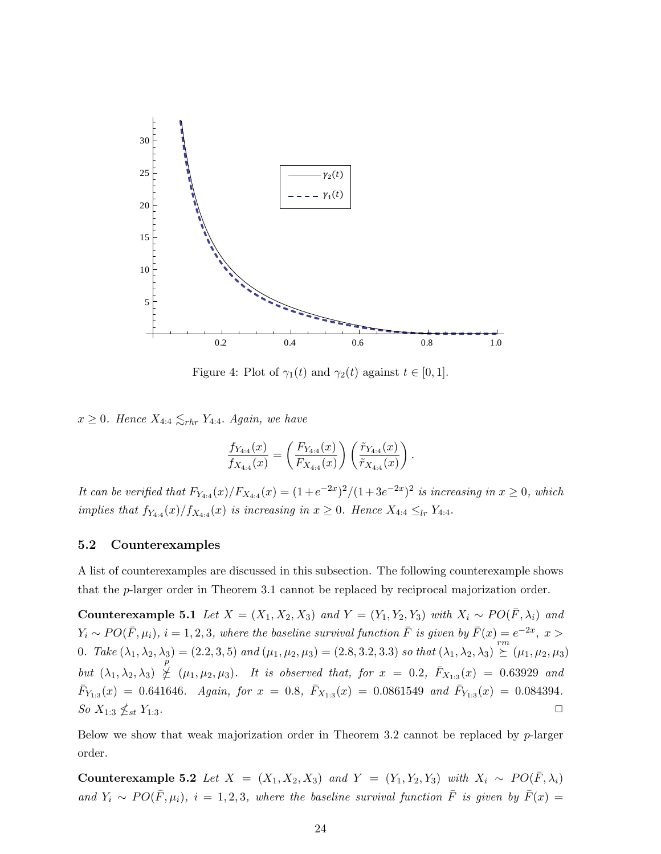

Figure 4: Plot of  $\gamma_1(t)$  and  $\gamma_2(t)$  against  $t \in [0,1]$ .

 $x \geq 0$ . Hence  $X_{4:4} \lesssim_{rhr} Y_{4:4}$ . Again, we have

$$
\frac{f_{Y_{4:4}}(x)}{f_{X_{4:4}}(x)} = \left(\frac{F_{Y_{4:4}}(x)}{F_{X_{4:4}}(x)}\right) \left(\frac{\tilde{r}_{Y_{4:4}}(x)}{\tilde{r}_{X_{4:4}}(x)}\right).
$$

It can be verified that  $F_{Y_{4:4}}(x)/F_{X_{4:4}}(x) = (1+e^{-2x})^2/(1+3e^{-2x})^2$  is increasing in  $x \ge 0$ , which implies that  $f_{Y_{4:4}}(x)/f_{X_{4:4}}(x)$  is increasing in  $x \geq 0$ . Hence  $X_{4:4} \leq_{lr} Y_{4:4}$ .

#### 5.2 Counterexamples

A list of counterexamples are discussed in this subsection. The following counterexample shows that the p-larger order in Theorem 3.1 cannot be replaced by reciprocal majorization order.

Counterexample 5.1 Let  $X = (X_1, X_2, X_3)$  and  $Y = (Y_1, Y_2, Y_3)$  with  $X_i \sim PO(\overline{F}, \lambda_i)$  and  $Y_i \sim PO(\bar{F}, \mu_i), i = 1, 2, 3$ , where the baseline survival function  $\bar{F}$  is given by  $\bar{F}(x) = e^{-2x}$ ,  $x >$ 0. Take  $(\lambda_1, \lambda_2, \lambda_3) = (2.2, 3, 5)$  and  $(\mu_1, \mu_2, \mu_3) = (2.8, 3.2, 3.3)$  so that  $(\lambda_1, \lambda_2, \lambda_3) \stackrel{rm}{\succeq} (\mu_1, \mu_2, \mu_3)$ but  $(\lambda_1, \lambda_2, \lambda_3) \not\leq (\mu_1, \mu_2, \mu_3)$ . It is observed that, for  $x = 0.2$ ,  $\bar{F}_{X_{1:3}}(x) = 0.63929$  and  $\bar{F}_{Y_{1:3}}(x) = 0.641646$ . Again, for  $x = 0.8$ ,  $\bar{F}_{X_{1:3}}(x) = 0.0861549$  and  $\bar{F}_{Y_{1:3}}(x) = 0.084394$ . So  $X_{1:3} \nleq_{st} Y_{1:3}$ .  $_{st}$  Y<sub>1:3</sub>.

Below we show that weak majorization order in Theorem 3.2 cannot be replaced by p-larger order.

Counterexample 5.2 Let  $X = (X_1, X_2, X_3)$  and  $Y = (Y_1, Y_2, Y_3)$  with  $X_i \sim PO(\overline{F}, \lambda_i)$ and  $Y_i \sim PO(\bar{F}, \mu_i), i = 1, 2, 3$ , where the baseline survival function  $\bar{F}$  is given by  $\bar{F}(x) =$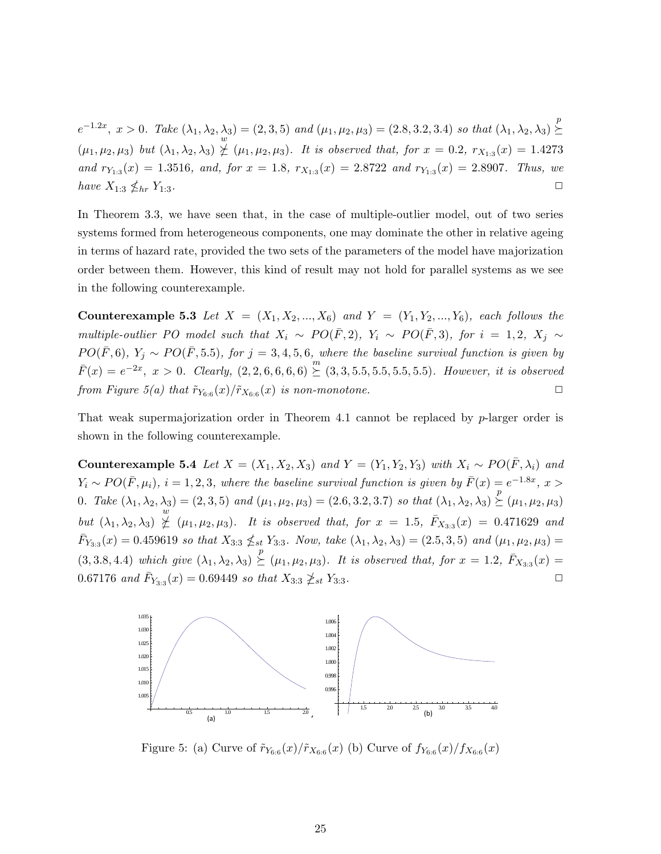$e^{-1.2x}, x > 0$ . Take  $(\lambda_1, \lambda_2, \lambda_3) = (2, 3, 5)$  and  $(\mu_1, \mu_2, \mu_3) = (2.8, 3.2, 3.4)$  so that  $(\lambda_1, \lambda_2, \lambda_3) \geq$  $\lambda_3$  = (2, 3, 5) and ( $\mu_1, \mu_2, \mu_3$ ) = (2.8, 3.2, 3.4) so that ( $\lambda_1, \lambda_2, \lambda_3$ )  $\succeq$  $(\mu_1, \mu_2, \mu_3)$  but  $(\lambda_1, \lambda_2, \lambda_3) \not\succeq (\mu_1, \mu_2, \mu_3)$ . It is observed that, for  $x = 0.2$ ,  $r_{X_{1:3}}(x) = 1.4273$ and  $r_{Y_{1:3}}(x) = 1.3516$ , and, for  $x = 1.8$ ,  $r_{X_{1:3}}(x) = 2.8722$  and  $r_{Y_{1:3}}(x) = 2.8907$ . Thus, we have  $X_{1:3} \nleq_{hr} Y_{1:3}$ .  $\ln Y_{1:3}$ .

In Theorem 3.3, we have seen that, in the case of multiple-outlier model, out of two series systems formed from heterogeneous components, one may dominate the other in relative ageing in terms of hazard rate, provided the two sets of the parameters of the model have majorization order between them. However, this kind of result may not hold for parallel systems as we see in the following counterexample.

**Counterexample 5.3** Let  $X = (X_1, X_2, ..., X_6)$  and  $Y = (Y_1, Y_2, ..., Y_6)$ , each follows the multiple-outlier PO model such that  $X_i \sim PO(\bar{F}, 2)$ ,  $Y_i \sim PO(\bar{F}, 3)$ , for  $i = 1, 2, X_j \sim$  $PO(\bar{F},6)$ ,  $Y_j \sim PO(\bar{F},5.5)$ , for  $j=3,4,5,6$ , where the baseline survival function is given by  $\overline{F}(x) = e^{-2x}, x > 0.$  Clearly,  $(2, 2, 6, 6, 6, 6) \geq (3, 3, 5.5, 5.5, 5.5, 5.5).$  However, it is observed from Figure 5(a) that  $\tilde{r}_{Y_{6:6}}(x)/\tilde{r}_{X_{6:6}}(x)$  is non-monotone.

That weak supermajorization order in Theorem 4.1 cannot be replaced by  $p$ -larger order is shown in the following counterexample.

Counterexample 5.4 Let  $X = (X_1, X_2, X_3)$  and  $Y = (Y_1, Y_2, Y_3)$  with  $X_i \sim PO(\overline{F}, \lambda_i)$  and  $Y_i \sim PO(\bar{F}, \mu_i), i = 1, 2, 3$ , where the baseline survival function is given by  $\bar{F}(x) = e^{-1.8x}$ ,  $x >$ 0. Take  $(\lambda_1, \lambda_2, \lambda_3) = (2, 3, 5)$  and  $(\mu_1, \mu_2, \mu_3) = (2.6, 3.2, 3.7)$  so that  $(\lambda_1, \lambda_2, \lambda_3) \succeq (\mu_1, \mu_2, \mu_3)$ but  $(\lambda_1, \lambda_2, \lambda_3) \nsubseteq (\mu_1, \mu_2, \mu_3)$ . It is observed that, for  $x = 1.5$ ,  $\bar{F}_{X_{3:3}}(x) = 0.471629$  and  $\bar{F}_{Y_{3:3}}(x) = 0.459619$  so that  $X_{3:3} \nleq_{st} Y_{3:3}$ . Now, take  $(\lambda_1, \lambda_2, \lambda_3) = (2.5, 3, 5)$  and  $(\mu_1, \mu_2, \mu_3) =$  $(3, 3.8, 4.4)$  which give  $(\lambda_1, \lambda_2, \lambda_3) \succeq (\mu_1, \mu_2, \mu_3)$ . It is observed that, for  $x = 1.2$ ,  $\bar{F}_{X_{3:3}}(x) =$ 0.67176 and  $\bar{F}_{Y_{3:3}}(x) = 0.69449$  so that  $X_{3:3} \ngeq_{st} Y_{3:3}$ .



Figure 5: (a) Curve of  $\tilde{r}_{Y_{6.6}}(x)/\tilde{r}_{X_{6.6}}(x)$  (b) Curve of  $f_{Y_{6.6}}(x)/f_{X_{6.6}}(x)$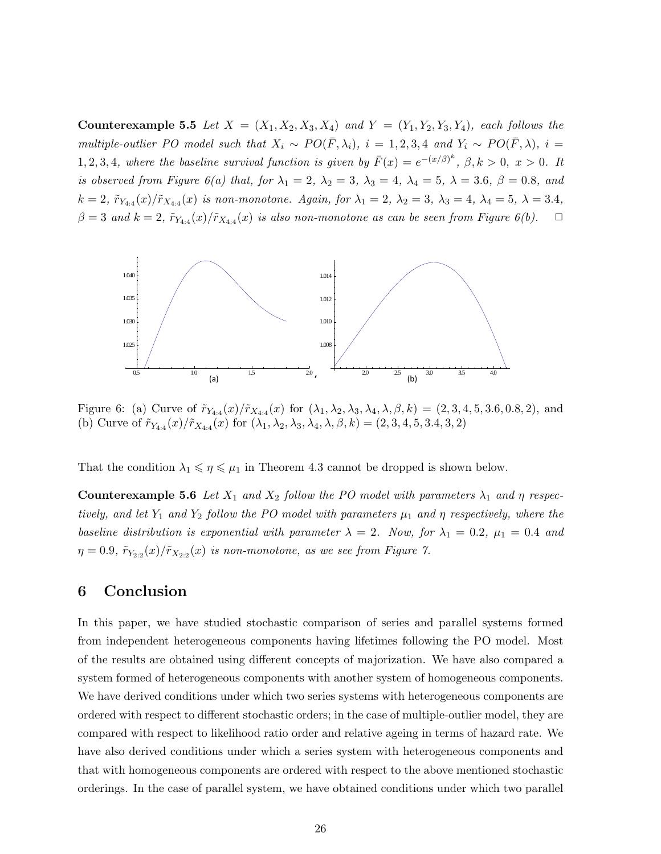**Counterexample 5.5** Let  $X = (X_1, X_2, X_3, X_4)$  and  $Y = (Y_1, Y_2, Y_3, Y_4)$ , each follows the multiple-outlier PO model such that  $X_i \sim PO(\bar{F}, \lambda_i)$ ,  $i = 1, 2, 3, 4$  and  $Y_i \sim PO(\bar{F}, \lambda)$ ,  $i =$ 1, 2, 3, 4, where the baseline survival function is given by  $\bar{F}(x) = e^{-(x/\beta)^k}$ ,  $\beta, k > 0$ ,  $x > 0$ . It is observed from Figure 6(a) that, for  $\lambda_1 = 2$ ,  $\lambda_2 = 3$ ,  $\lambda_3 = 4$ ,  $\lambda_4 = 5$ ,  $\lambda = 3.6$ ,  $\beta = 0.8$ , and  $k = 2, \ \tilde{r}_{Y_{4:4}}(x)/\tilde{r}_{X_{4:4}}(x)$  is non-monotone. Again, for  $\lambda_1 = 2, \ \lambda_2 = 3, \ \lambda_3 = 4, \ \lambda_4 = 5, \ \lambda = 3.4,$  $\beta = 3$  and  $k = 2$ ,  $\tilde{r}_{Y_{4:4}}(x)/\tilde{r}_{X_{4:4}}(x)$  is also non-monotone as can be seen from Figure 6(b).  $\Box$ 



Figure 6: (a) Curve of  $\tilde{r}_{Y_{4:4}}(x)/\tilde{r}_{X_{4:4}}(x)$  for  $(\lambda_1, \lambda_2, \lambda_3, \lambda_4, \lambda, \beta, k) = (2, 3, 4, 5, 3.6, 0.8, 2)$ , and (b) Curve of  $\tilde{r}_{Y_{4:4}}(x)/\tilde{r}_{X_{4:4}}(x)$  for  $(\lambda_1, \lambda_2, \lambda_3, \lambda_4, \lambda, \beta, k) = (2, 3, 4, 5, 3.4, 3, 2)$ 

That the condition  $\lambda_1 \leq \eta \leq \mu_1$  in Theorem 4.3 cannot be dropped is shown below.

**Counterexample 5.6** Let  $X_1$  and  $X_2$  follow the PO model with parameters  $\lambda_1$  and  $\eta$  respectively, and let  $Y_1$  and  $Y_2$  follow the PO model with parameters  $\mu_1$  and  $\eta$  respectively, where the baseline distribution is exponential with parameter  $\lambda = 2$ . Now, for  $\lambda_1 = 0.2$ ,  $\mu_1 = 0.4$  and  $\eta = 0.9$ ,  $\tilde{r}_{Y_{2:2}}(x)/\tilde{r}_{X_{2:2}}(x)$  is non-monotone, as we see from Figure 7.

# 6 Conclusion

In this paper, we have studied stochastic comparison of series and parallel systems formed from independent heterogeneous components having lifetimes following the PO model. Most of the results are obtained using different concepts of majorization. We have also compared a system formed of heterogeneous components with another system of homogeneous components. We have derived conditions under which two series systems with heterogeneous components are ordered with respect to different stochastic orders; in the case of multiple-outlier model, they are compared with respect to likelihood ratio order and relative ageing in terms of hazard rate. We have also derived conditions under which a series system with heterogeneous components and that with homogeneous components are ordered with respect to the above mentioned stochastic orderings. In the case of parallel system, we have obtained conditions under which two parallel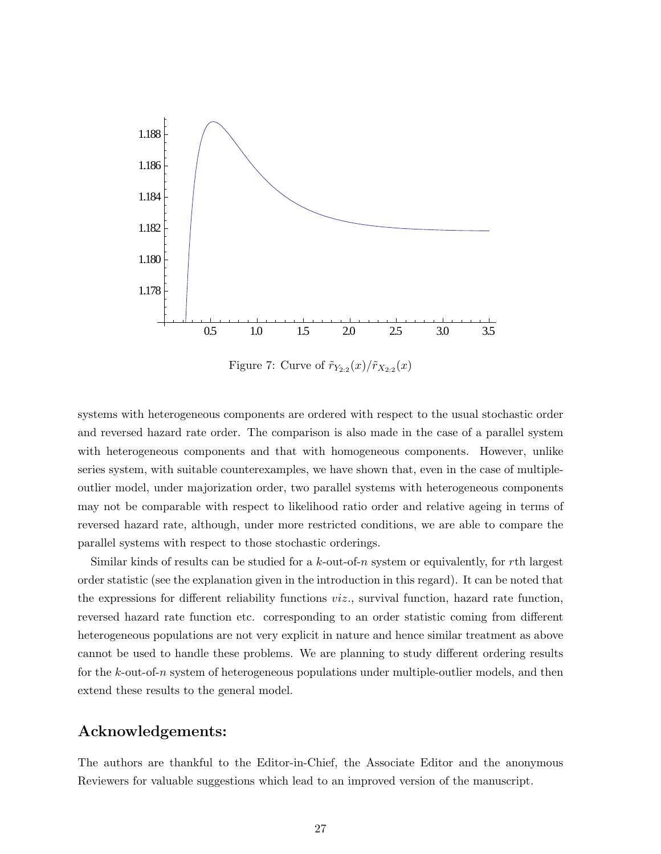

Figure 7: Curve of  $\tilde{r}_{Y_{2:2}}(x)/\tilde{r}_{X_{2:2}}(x)$ 

systems with heterogeneous components are ordered with respect to the usual stochastic order and reversed hazard rate order. The comparison is also made in the case of a parallel system with heterogeneous components and that with homogeneous components. However, unlike series system, with suitable counterexamples, we have shown that, even in the case of multipleoutlier model, under majorization order, two parallel systems with heterogeneous components may not be comparable with respect to likelihood ratio order and relative ageing in terms of reversed hazard rate, although, under more restricted conditions, we are able to compare the parallel systems with respect to those stochastic orderings.

Similar kinds of results can be studied for a  $k$ -out-of-n system or equivalently, for rth largest order statistic (see the explanation given in the introduction in this regard). It can be noted that the expressions for different reliability functions  $viz$ , survival function, hazard rate function, reversed hazard rate function etc. corresponding to an order statistic coming from different heterogeneous populations are not very explicit in nature and hence similar treatment as above cannot be used to handle these problems. We are planning to study different ordering results for the k-out-of-n system of heterogeneous populations under multiple-outlier models, and then extend these results to the general model.

# Acknowledgements:

The authors are thankful to the Editor-in-Chief, the Associate Editor and the anonymous Reviewers for valuable suggestions which lead to an improved version of the manuscript.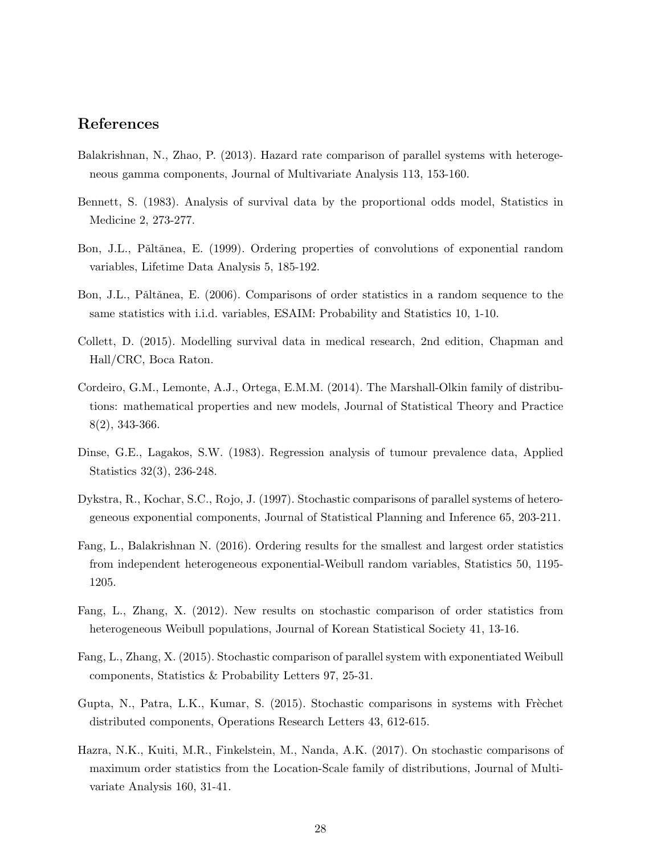# References

- Balakrishnan, N., Zhao, P. (2013). Hazard rate comparison of parallel systems with heterogeneous gamma components, Journal of Multivariate Analysis 113, 153-160.
- Bennett, S. (1983). Analysis of survival data by the proportional odds model, Statistics in Medicine 2, 273-277.
- Bon, J.L., Pǎltǎnea, E. (1999). Ordering properties of convolutions of exponential random variables, Lifetime Data Analysis 5, 185-192.
- Bon, J.L., Păltănea, E. (2006). Comparisons of order statistics in a random sequence to the same statistics with i.i.d. variables, ESAIM: Probability and Statistics 10, 1-10.
- Collett, D. (2015). Modelling survival data in medical research, 2nd edition, Chapman and Hall/CRC, Boca Raton.
- Cordeiro, G.M., Lemonte, A.J., Ortega, E.M.M. (2014). The Marshall-Olkin family of distributions: mathematical properties and new models, Journal of Statistical Theory and Practice 8(2), 343-366.
- Dinse, G.E., Lagakos, S.W. (1983). Regression analysis of tumour prevalence data, Applied Statistics 32(3), 236-248.
- Dykstra, R., Kochar, S.C., Rojo, J. (1997). Stochastic comparisons of parallel systems of heterogeneous exponential components, Journal of Statistical Planning and Inference 65, 203-211.
- Fang, L., Balakrishnan N. (2016). Ordering results for the smallest and largest order statistics from independent heterogeneous exponential-Weibull random variables, Statistics 50, 1195- 1205.
- Fang, L., Zhang, X. (2012). New results on stochastic comparison of order statistics from heterogeneous Weibull populations, Journal of Korean Statistical Society 41, 13-16.
- Fang, L., Zhang, X. (2015). Stochastic comparison of parallel system with exponentiated Weibull components, Statistics & Probability Letters 97, 25-31.
- Gupta, N., Patra, L.K., Kumar, S. (2015). Stochastic comparisons in systems with Frèchet distributed components, Operations Research Letters 43, 612-615.
- Hazra, N.K., Kuiti, M.R., Finkelstein, M., Nanda, A.K. (2017). On stochastic comparisons of maximum order statistics from the Location-Scale family of distributions, Journal of Multivariate Analysis 160, 31-41.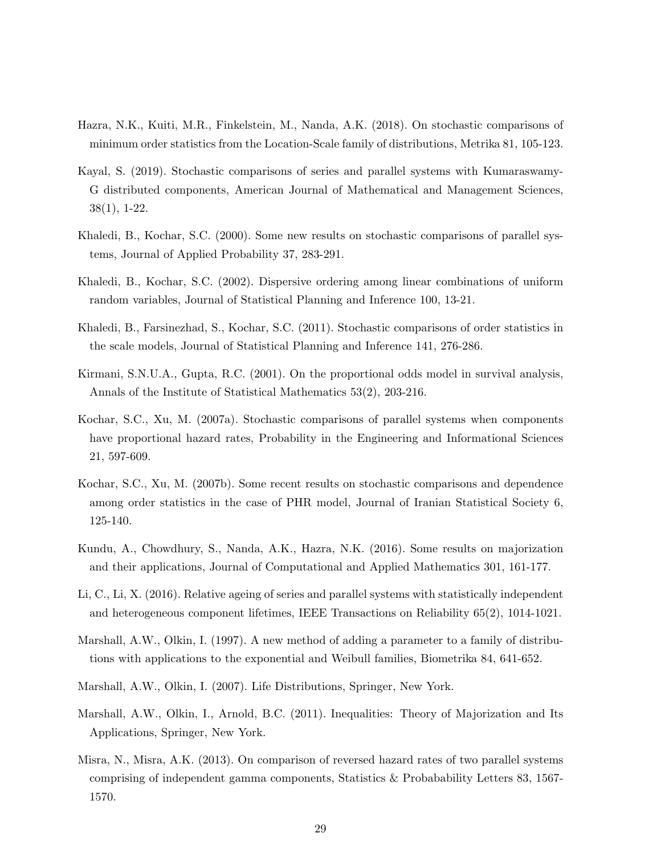- Hazra, N.K., Kuiti, M.R., Finkelstein, M., Nanda, A.K. (2018). On stochastic comparisons of minimum order statistics from the Location-Scale family of distributions, Metrika 81, 105-123.
- Kayal, S. (2019). Stochastic comparisons of series and parallel systems with Kumaraswamy-G distributed components, American Journal of Mathematical and Management Sciences, 38(1), 1-22.
- Khaledi, B., Kochar, S.C. (2000). Some new results on stochastic comparisons of parallel systems, Journal of Applied Probability 37, 283-291.
- Khaledi, B., Kochar, S.C. (2002). Dispersive ordering among linear combinations of uniform random variables, Journal of Statistical Planning and Inference 100, 13-21.
- Khaledi, B., Farsinezhad, S., Kochar, S.C. (2011). Stochastic comparisons of order statistics in the scale models, Journal of Statistical Planning and Inference 141, 276-286.
- Kirmani, S.N.U.A., Gupta, R.C. (2001). On the proportional odds model in survival analysis, Annals of the Institute of Statistical Mathematics 53(2), 203-216.
- Kochar, S.C., Xu, M. (2007a). Stochastic comparisons of parallel systems when components have proportional hazard rates, Probability in the Engineering and Informational Sciences 21, 597-609.
- Kochar, S.C., Xu, M. (2007b). Some recent results on stochastic comparisons and dependence among order statistics in the case of PHR model, Journal of Iranian Statistical Society 6, 125-140.
- Kundu, A., Chowdhury, S., Nanda, A.K., Hazra, N.K. (2016). Some results on majorization and their applications, Journal of Computational and Applied Mathematics 301, 161-177.
- Li, C., Li, X. (2016). Relative ageing of series and parallel systems with statistically independent and heterogeneous component lifetimes, IEEE Transactions on Reliability 65(2), 1014-1021.
- Marshall, A.W., Olkin, I. (1997). A new method of adding a parameter to a family of distributions with applications to the exponential and Weibull families, Biometrika 84, 641-652.
- Marshall, A.W., Olkin, I. (2007). Life Distributions, Springer, New York.
- Marshall, A.W., Olkin, I., Arnold, B.C. (2011). Inequalities: Theory of Majorization and Its Applications, Springer, New York.
- Misra, N., Misra, A.K. (2013). On comparison of reversed hazard rates of two parallel systems comprising of independent gamma components, Statistics & Probabability Letters 83, 1567- 1570.